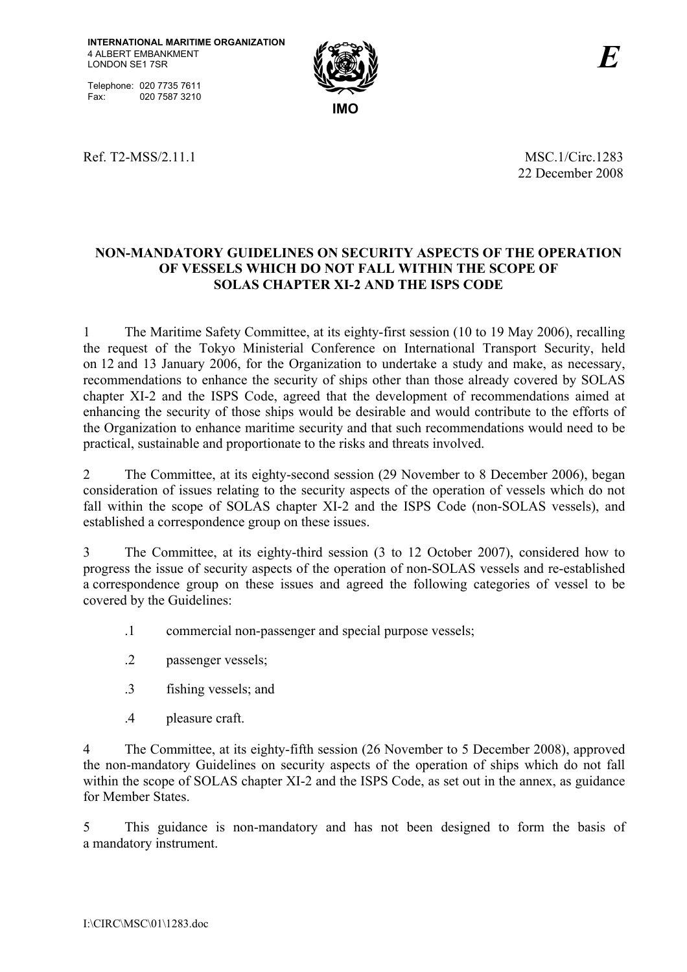Telephone: 020 7735 7611<br>Fax: 020 7587 3210 020 7587 3210



Ref. T2-MSS/2.11.1 MSC.1/Circ.1283

22 December 2008

# **NON-MANDATORY GUIDELINES ON SECURITY ASPECTS OF THE OPERATION OF VESSELS WHICH DO NOT FALL WITHIN THE SCOPE OF SOLAS CHAPTER XI-2 AND THE ISPS CODE**

1 The Maritime Safety Committee, at its eighty-first session (10 to 19 May 2006), recalling the request of the Tokyo Ministerial Conference on International Transport Security, held on 12 and 13 January 2006, for the Organization to undertake a study and make, as necessary, recommendations to enhance the security of ships other than those already covered by SOLAS chapter XI-2 and the ISPS Code, agreed that the development of recommendations aimed at enhancing the security of those ships would be desirable and would contribute to the efforts of the Organization to enhance maritime security and that such recommendations would need to be practical, sustainable and proportionate to the risks and threats involved.

2 The Committee, at its eighty-second session (29 November to 8 December 2006), began consideration of issues relating to the security aspects of the operation of vessels which do not fall within the scope of SOLAS chapter XI-2 and the ISPS Code (non-SOLAS vessels), and established a correspondence group on these issues.

3 The Committee, at its eighty-third session (3 to 12 October 2007), considered how to progress the issue of security aspects of the operation of non-SOLAS vessels and re-established a correspondence group on these issues and agreed the following categories of vessel to be covered by the Guidelines:

- .1 commercial non-passenger and special purpose vessels;
- .2 passenger vessels;
- .3 fishing vessels; and
- .4 pleasure craft.

4 The Committee, at its eighty-fifth session (26 November to 5 December 2008), approved the non-mandatory Guidelines on security aspects of the operation of ships which do not fall within the scope of SOLAS chapter XI-2 and the ISPS Code, as set out in the annex, as guidance for Member States.

5 This guidance is non-mandatory and has not been designed to form the basis of a mandatory instrument.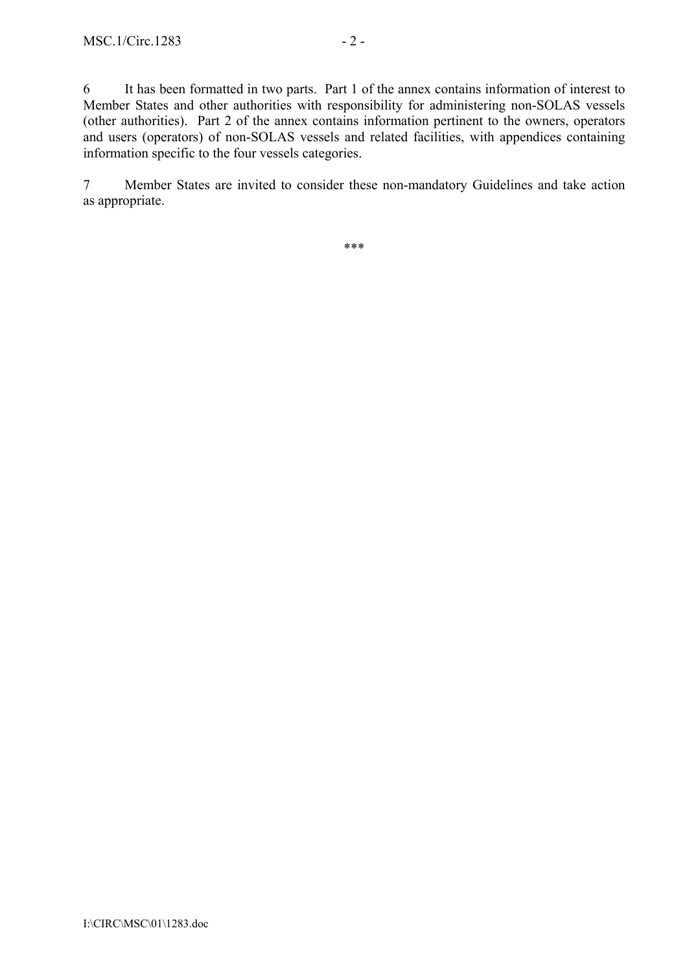6 It has been formatted in two parts. Part 1 of the annex contains information of interest to Member States and other authorities with responsibility for administering non-SOLAS vessels (other authorities). Part 2 of the annex contains information pertinent to the owners, operators and users (operators) of non-SOLAS vessels and related facilities, with appendices containing information specific to the four vessels categories.

7 Member States are invited to consider these non-mandatory Guidelines and take action as appropriate.

\*\*\*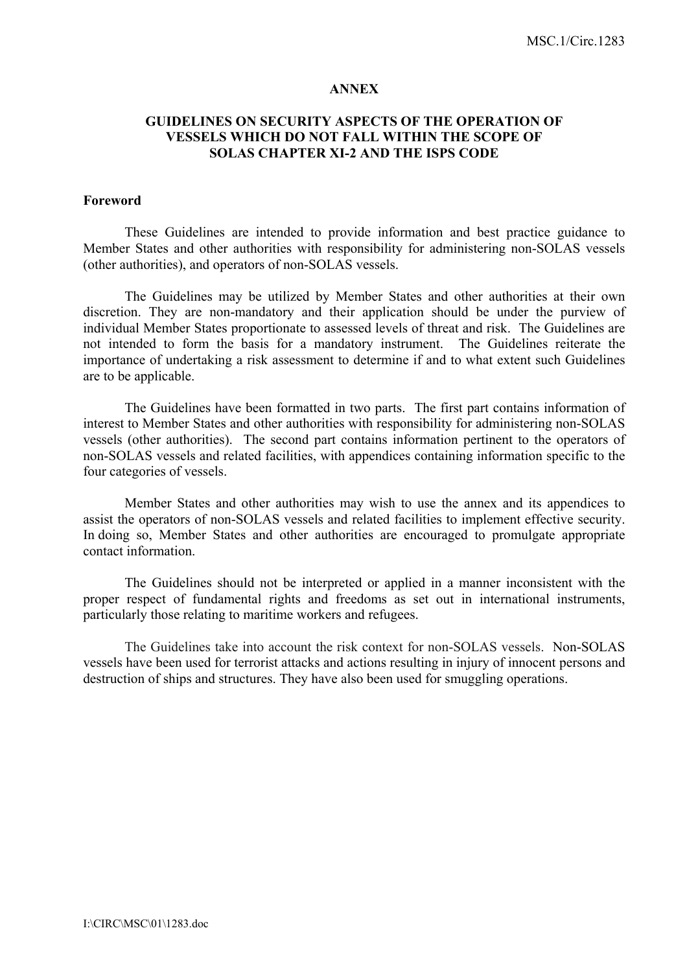#### **ANNEX**

### **GUIDELINES ON SECURITY ASPECTS OF THE OPERATION OF VESSELS WHICH DO NOT FALL WITHIN THE SCOPE OF SOLAS CHAPTER XI-2 AND THE ISPS CODE**

#### **Foreword**

These Guidelines are intended to provide information and best practice guidance to Member States and other authorities with responsibility for administering non-SOLAS vessels (other authorities), and operators of non-SOLAS vessels.

The Guidelines may be utilized by Member States and other authorities at their own discretion. They are non-mandatory and their application should be under the purview of individual Member States proportionate to assessed levels of threat and risk. The Guidelines are not intended to form the basis for a mandatory instrument. The Guidelines reiterate the importance of undertaking a risk assessment to determine if and to what extent such Guidelines are to be applicable.

 The Guidelines have been formatted in two parts. The first part contains information of interest to Member States and other authorities with responsibility for administering non-SOLAS vessels (other authorities). The second part contains information pertinent to the operators of non-SOLAS vessels and related facilities, with appendices containing information specific to the four categories of vessels.

 Member States and other authorities may wish to use the annex and its appendices to assist the operators of non-SOLAS vessels and related facilities to implement effective security. In doing so, Member States and other authorities are encouraged to promulgate appropriate contact information.

 The Guidelines should not be interpreted or applied in a manner inconsistent with the proper respect of fundamental rights and freedoms as set out in international instruments, particularly those relating to maritime workers and refugees.

 The Guidelines take into account the risk context for non-SOLAS vessels. Non-SOLAS vessels have been used for terrorist attacks and actions resulting in injury of innocent persons and destruction of ships and structures. They have also been used for smuggling operations.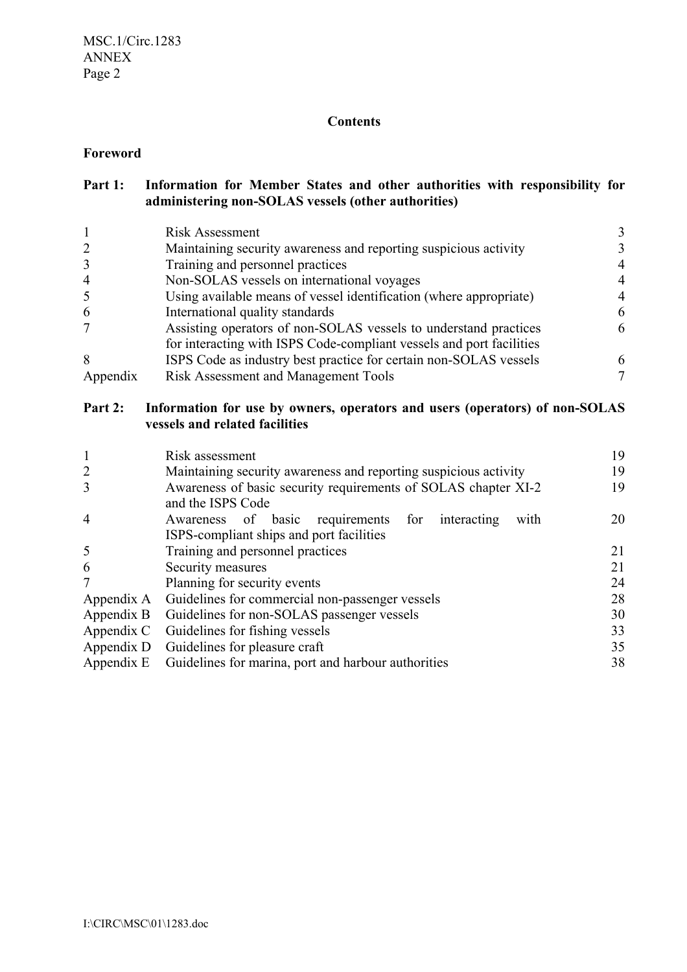# **Contents**

# **Foreword**

| Part 1: | Information for Member States and other authorities with responsibility for |
|---------|-----------------------------------------------------------------------------|
|         | administering non-SOLAS vessels (other authorities)                         |

|                | <b>Risk Assessment</b>                                               |   |
|----------------|----------------------------------------------------------------------|---|
| 2              | Maintaining security awareness and reporting suspicious activity     |   |
| 3              | Training and personnel practices                                     | 4 |
| $\overline{4}$ | Non-SOLAS vessels on international voyages                           | 4 |
| 5              | Using available means of vessel identification (where appropriate)   | 4 |
| 6              | International quality standards                                      | 6 |
|                | Assisting operators of non-SOLAS vessels to understand practices     | 6 |
|                | for interacting with ISPS Code-compliant vessels and port facilities |   |
| 8              | ISPS Code as industry best practice for certain non-SOLAS vessels    | 6 |
| Appendix       | <b>Risk Assessment and Management Tools</b>                          |   |

# **Part 2: Information for use by owners, operators and users (operators) of non-SOLAS vessels and related facilities**

|                | Risk assessment                                                                     | 19 |  |  |  |  |
|----------------|-------------------------------------------------------------------------------------|----|--|--|--|--|
| $\overline{2}$ | Maintaining security awareness and reporting suspicious activity                    |    |  |  |  |  |
| 3              | Awareness of basic security requirements of SOLAS chapter XI-2<br>and the ISPS Code | 19 |  |  |  |  |
| $\overline{4}$ | Awareness of basic<br>requirements for<br>interacting<br>with                       | 20 |  |  |  |  |
|                | ISPS-compliant ships and port facilities                                            |    |  |  |  |  |
| 5              | Training and personnel practices                                                    |    |  |  |  |  |
| 6              | Security measures                                                                   |    |  |  |  |  |
| 7              | Planning for security events                                                        |    |  |  |  |  |
| Appendix A     | Guidelines for commercial non-passenger vessels                                     |    |  |  |  |  |
| Appendix B     | Guidelines for non-SOLAS passenger vessels                                          |    |  |  |  |  |
| Appendix C     | Guidelines for fishing vessels                                                      |    |  |  |  |  |
| Appendix D     | Guidelines for pleasure craft                                                       |    |  |  |  |  |
|                | Appendix E Guidelines for marina, port and harbour authorities                      |    |  |  |  |  |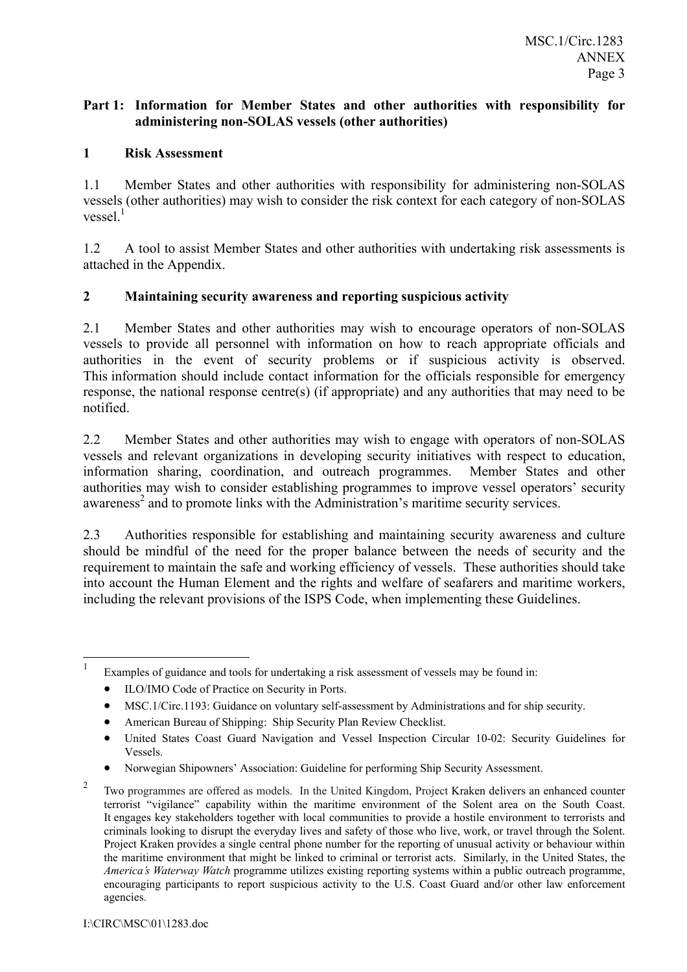### **Part 1: Information for Member States and other authorities with responsibility for administering non-SOLAS vessels (other authorities)**

# **1 Risk Assessment**

1.1 Member States and other authorities with responsibility for administering non-SOLAS vessels (other authorities) may wish to consider the risk context for each category of non-SOLAS vessel $<sup>1</sup>$ </sup>

1.2 A tool to assist Member States and other authorities with undertaking risk assessments is attached in the Appendix.

# **2 Maintaining security awareness and reporting suspicious activity**

2.1 Member States and other authorities may wish to encourage operators of non-SOLAS vessels to provide all personnel with information on how to reach appropriate officials and authorities in the event of security problems or if suspicious activity is observed. This information should include contact information for the officials responsible for emergency response, the national response centre(s) (if appropriate) and any authorities that may need to be notified.

2.2 Member States and other authorities may wish to engage with operators of non-SOLAS vessels and relevant organizations in developing security initiatives with respect to education, information sharing, coordination, and outreach programmes. Member States and other authorities may wish to consider establishing programmes to improve vessel operators' security awareness<sup>2</sup> and to promote links with the Administration's maritime security services.

2.3 Authorities responsible for establishing and maintaining security awareness and culture should be mindful of the need for the proper balance between the needs of security and the requirement to maintain the safe and working efficiency of vessels. These authorities should take into account the Human Element and the rights and welfare of seafarers and maritime workers, including the relevant provisions of the ISPS Code, when implementing these Guidelines.

- MSC.1/Circ.1193: Guidance on voluntary self-assessment by Administrations and for ship security.
- American Bureau of Shipping: Ship Security Plan Review Checklist.

 $\frac{1}{1}$ Examples of guidance and tools for undertaking a risk assessment of vessels may be found in:

<sup>•</sup> ILO/IMO Code of Practice on Security in Ports.

<sup>•</sup> United States Coast Guard Navigation and Vessel Inspection Circular 10-02: Security Guidelines for Vessels.

<sup>•</sup> Norwegian Shipownersí Association: Guideline for performing Ship Security Assessment.

<sup>2</sup> Two programmes are offered as models. In the United Kingdom, Project Kraken delivers an enhanced counter terrorist "vigilance" capability within the maritime environment of the Solent area on the South Coast. It engages key stakeholders together with local communities to provide a hostile environment to terrorists and criminals looking to disrupt the everyday lives and safety of those who live, work, or travel through the Solent. Project Kraken provides a single central phone number for the reporting of unusual activity or behaviour within the maritime environment that might be linked to criminal or terrorist acts. Similarly, in the United States, the *Americaís Waterway Watch* programme utilizes existing reporting systems within a public outreach programme, encouraging participants to report suspicious activity to the U.S. Coast Guard and/or other law enforcement agencies.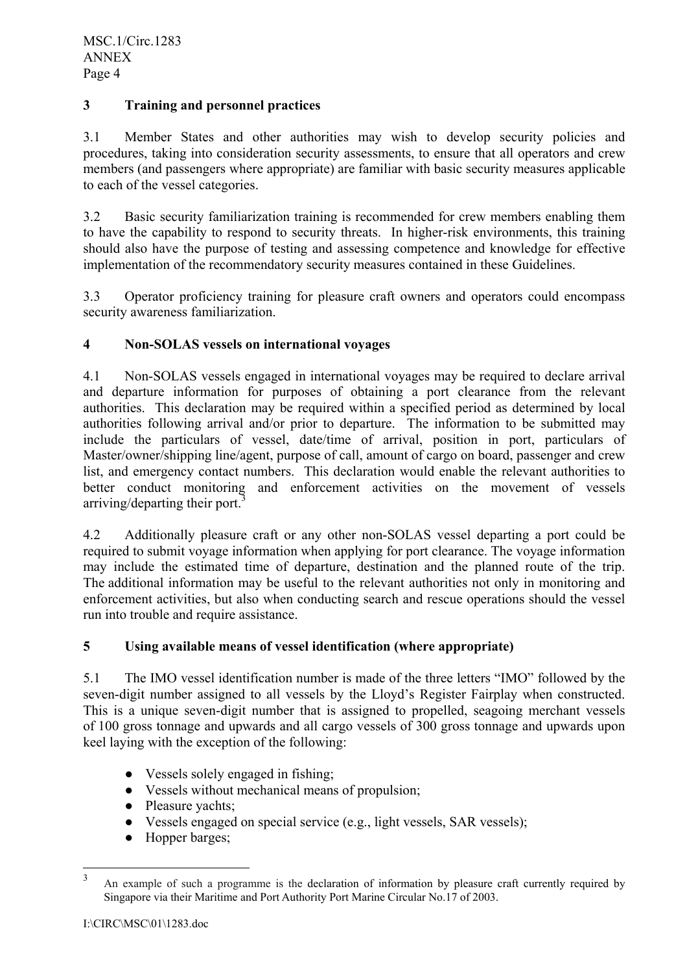# **3 Training and personnel practices**

3.1 Member States and other authorities may wish to develop security policies and procedures, taking into consideration security assessments, to ensure that all operators and crew members (and passengers where appropriate) are familiar with basic security measures applicable to each of the vessel categories.

3.2 Basic security familiarization training is recommended for crew members enabling them to have the capability to respond to security threats. In higher-risk environments, this training should also have the purpose of testing and assessing competence and knowledge for effective implementation of the recommendatory security measures contained in these Guidelines.

3.3 Operator proficiency training for pleasure craft owners and operators could encompass security awareness familiarization.

# **4 Non-SOLAS vessels on international voyages**

4.1 Non-SOLAS vessels engaged in international voyages may be required to declare arrival and departure information for purposes of obtaining a port clearance from the relevant authorities. This declaration may be required within a specified period as determined by local authorities following arrival and/or prior to departure. The information to be submitted may include the particulars of vessel, date/time of arrival, position in port, particulars of Master/owner/shipping line/agent, purpose of call, amount of cargo on board, passenger and crew list, and emergency contact numbers. This declaration would enable the relevant authorities to better conduct monitoring and enforcement activities on the movement of vessels arriving/departing their port.<sup>3</sup>

4.2 Additionally pleasure craft or any other non-SOLAS vessel departing a port could be required to submit voyage information when applying for port clearance. The voyage information may include the estimated time of departure, destination and the planned route of the trip. The additional information may be useful to the relevant authorities not only in monitoring and enforcement activities, but also when conducting search and rescue operations should the vessel run into trouble and require assistance.

# **5 Using available means of vessel identification (where appropriate)**

5.1 The IMO vessel identification number is made of the three letters "IMO" followed by the seven-digit number assigned to all vessels by the Lloyd's Register Fairplay when constructed. This is a unique seven-digit number that is assigned to propelled, seagoing merchant vessels of 100 gross tonnage and upwards and all cargo vessels of 300 gross tonnage and upwards upon keel laying with the exception of the following:

- Vessels solely engaged in fishing;
- Vessels without mechanical means of propulsion:
- Pleasure vachts:
- Vessels engaged on special service (e.g., light vessels, SAR vessels);
- Hopper barges;

 $\frac{1}{3}$  An example of such a programme is the declaration of information by pleasure craft currently required by Singapore via their Maritime and Port Authority Port Marine Circular No.17 of 2003.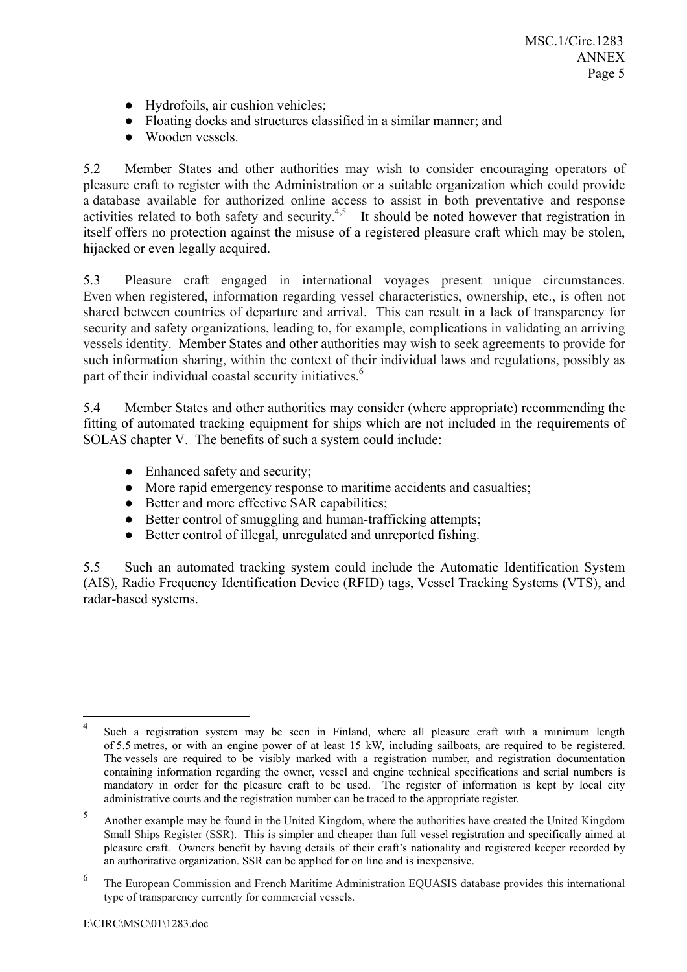- Hydrofoils, air cushion vehicles;
- Floating docks and structures classified in a similar manner; and
- Wooden vessels.

5.2 Member States and other authorities may wish to consider encouraging operators of pleasure craft to register with the Administration or a suitable organization which could provide a database available for authorized online access to assist in both preventative and response activities related to both safety and security.<sup>4,5</sup> It should be noted however that registration in itself offers no protection against the misuse of a registered pleasure craft which may be stolen, hijacked or even legally acquired.

5.3 Pleasure craft engaged in international voyages present unique circumstances. Even when registered, information regarding vessel characteristics, ownership, etc., is often not shared between countries of departure and arrival. This can result in a lack of transparency for security and safety organizations, leading to, for example, complications in validating an arriving vessels identity. Member States and other authorities may wish to seek agreements to provide for such information sharing, within the context of their individual laws and regulations, possibly as part of their individual coastal security initiatives.<sup>6</sup>

5.4 Member States and other authorities may consider (where appropriate) recommending the fitting of automated tracking equipment for ships which are not included in the requirements of SOLAS chapter V. The benefits of such a system could include:

- Enhanced safety and security;
- More rapid emergency response to maritime accidents and casualties;
- Better and more effective SAR capabilities;
- Better control of smuggling and human-trafficking attempts;
- Better control of illegal, unregulated and unreported fishing.

5.5 Such an automated tracking system could include the Automatic Identification System (AIS), Radio Frequency Identification Device (RFID) tags, Vessel Tracking Systems (VTS), and radar-based systems.

 $\overline{a}$ Such a registration system may be seen in Finland, where all pleasure craft with a minimum length of 5.5 metres, or with an engine power of at least 15 kW, including sailboats, are required to be registered. The vessels are required to be visibly marked with a registration number, and registration documentation containing information regarding the owner, vessel and engine technical specifications and serial numbers is mandatory in order for the pleasure craft to be used. The register of information is kept by local city administrative courts and the registration number can be traced to the appropriate register.

<sup>5</sup> Another example may be found in the United Kingdom, where the authorities have created the United Kingdom Small Ships Register (SSR). This is simpler and cheaper than full vessel registration and specifically aimed at pleasure craft. Owners benefit by having details of their craft's nationality and registered keeper recorded by an authoritative organization. SSR can be applied for on line and is inexpensive.

<sup>6</sup> The European Commission and French Maritime Administration EQUASIS database provides this international type of transparency currently for commercial vessels.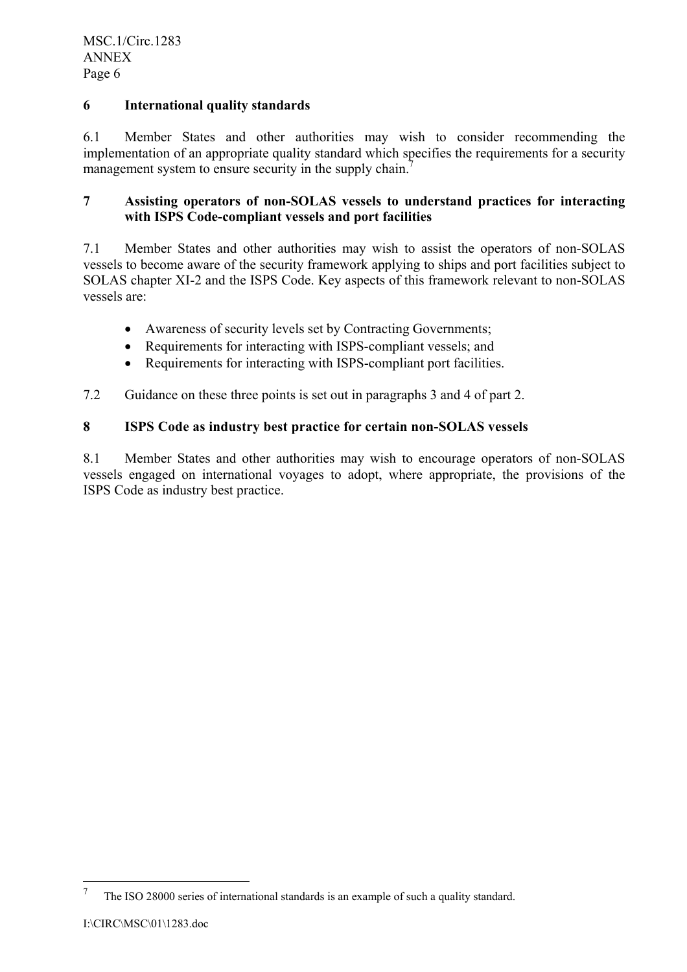# **6 International quality standards**

6.1 Member States and other authorities may wish to consider recommending the implementation of an appropriate quality standard which specifies the requirements for a security management system to ensure security in the supply chain.<sup>7</sup>

# **7 Assisting operators of non-SOLAS vessels to understand practices for interacting with ISPS Code-compliant vessels and port facilities**

7.1 Member States and other authorities may wish to assist the operators of non-SOLAS vessels to become aware of the security framework applying to ships and port facilities subject to SOLAS chapter XI-2 and the ISPS Code. Key aspects of this framework relevant to non-SOLAS vessels are:

- Awareness of security levels set by Contracting Governments;
- Requirements for interacting with ISPS-compliant vessels; and
- Requirements for interacting with ISPS-compliant port facilities.

7.2 Guidance on these three points is set out in paragraphs 3 and 4 of part 2.

# **8 ISPS Code as industry best practice for certain non-SOLAS vessels**

8.1 Member States and other authorities may wish to encourage operators of non-SOLAS vessels engaged on international voyages to adopt, where appropriate, the provisions of the ISPS Code as industry best practice.

<sup>7</sup> The ISO 28000 series of international standards is an example of such a quality standard.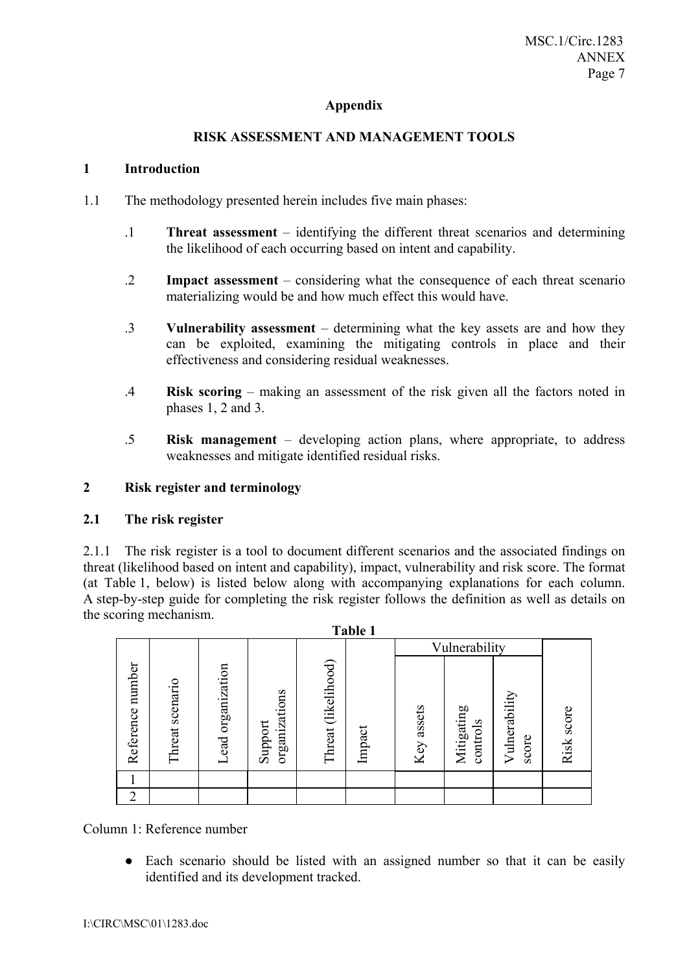# **Appendix**

# **RISK ASSESSMENT AND MANAGEMENT TOOLS**

#### **1 Introduction**

- 1.1 The methodology presented herein includes five main phases:
	- .1 **Threat assessment** identifying the different threat scenarios and determining the likelihood of each occurring based on intent and capability.
	- .2 **Impact assessment** considering what the consequence of each threat scenario materializing would be and how much effect this would have.
	- .3 **Vulnerability assessment** determining what the key assets are and how they can be exploited, examining the mitigating controls in place and their effectiveness and considering residual weaknesses.
	- .4 **Risk scoring** making an assessment of the risk given all the factors noted in phases 1, 2 and 3.
	- .5 **Risk management** developing action plans, where appropriate, to address weaknesses and mitigate identified residual risks.

#### **2 Risk register and terminology**

#### **2.1 The risk register**

2.1.1 The risk register is a tool to document different scenarios and the associated findings on threat (likelihood based on intent and capability), impact, vulnerability and risk score. The format (at Table 1, below) is listed below along with accompanying explanations for each column. A step-by-step guide for completing the risk register follows the definition as well as details on the scoring mechanism.

**Table 1** 

|                     |                    |                                      |                          |                        | <b>TADIG 1</b> |            |                        |                        |               |
|---------------------|--------------------|--------------------------------------|--------------------------|------------------------|----------------|------------|------------------------|------------------------|---------------|
|                     |                    |                                      |                          |                        |                |            | Vulnerability          |                        |               |
| number<br>Reference | scenario<br>Threat | organization<br>ead<br>$\overline{}$ | organizations<br>Support | (likelihood)<br>Threat | Impact         | Key assets | Mitigating<br>controls | Vulnerability<br>score | score<br>Risk |
|                     |                    |                                      |                          |                        |                |            |                        |                        |               |
| $\overline{2}$      |                    |                                      |                          |                        |                |            |                        |                        |               |

Column 1: Reference number

• Each scenario should be listed with an assigned number so that it can be easily identified and its development tracked.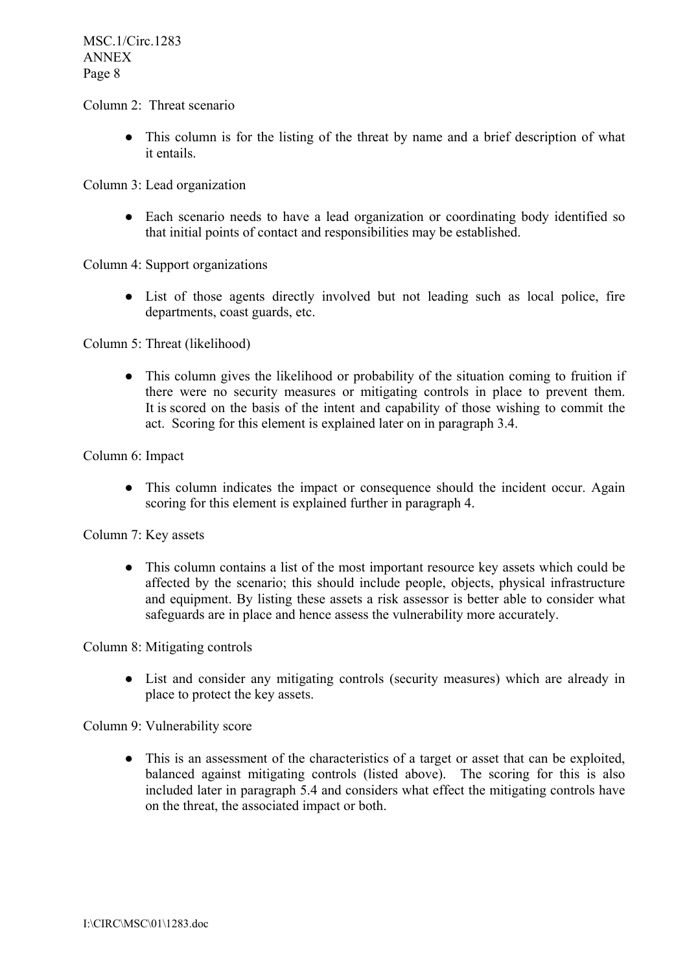#### Column 2: Threat scenario

• This column is for the listing of the threat by name and a brief description of what it entails.

Column 3: Lead organization

• Each scenario needs to have a lead organization or coordinating body identified so that initial points of contact and responsibilities may be established.

Column 4: Support organizations

● List of those agents directly involved but not leading such as local police, fire departments, coast guards, etc.

Column 5: Threat (likelihood)

• This column gives the likelihood or probability of the situation coming to fruition if there were no security measures or mitigating controls in place to prevent them. It is scored on the basis of the intent and capability of those wishing to commit the act. Scoring for this element is explained later on in paragraph 3.4.

#### Column 6: Impact

• This column indicates the impact or consequence should the incident occur. Again scoring for this element is explained further in paragraph 4.

#### Column 7: Key assets

● This column contains a list of the most important resource key assets which could be affected by the scenario; this should include people, objects, physical infrastructure and equipment. By listing these assets a risk assessor is better able to consider what safeguards are in place and hence assess the vulnerability more accurately.

Column 8: Mitigating controls

● List and consider any mitigating controls (security measures) which are already in place to protect the key assets.

Column 9: Vulnerability score

● This is an assessment of the characteristics of a target or asset that can be exploited, balanced against mitigating controls (listed above). The scoring for this is also included later in paragraph 5.4 and considers what effect the mitigating controls have on the threat, the associated impact or both.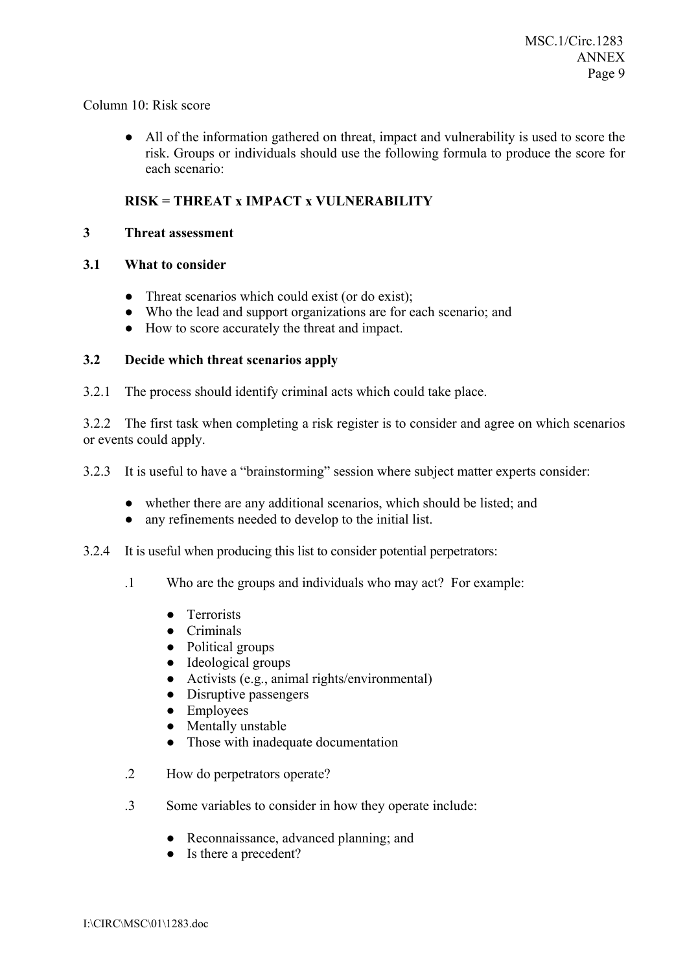#### Column 10: Risk score

● All of the information gathered on threat, impact and vulnerability is used to score the risk. Groups or individuals should use the following formula to produce the score for each scenario:

# **RISK = THREAT x IMPACT x VULNERABILITY**

#### **3 Threat assessment**

### **3.1 What to consider**

- Threat scenarios which could exist (or do exist);
- Who the lead and support organizations are for each scenario; and
- How to score accurately the threat and impact.

### **3.2 Decide which threat scenarios apply**

3.2.1 The process should identify criminal acts which could take place.

3.2.2 The first task when completing a risk register is to consider and agree on which scenarios or events could apply.

3.2.3 It is useful to have a "brainstorming" session where subject matter experts consider:

- whether there are any additional scenarios, which should be listed; and
- any refinements needed to develop to the initial list.
- 3.2.4 It is useful when producing this list to consider potential perpetrators:
	- .1 Who are the groups and individuals who may act? For example:
		- Terrorists
		- Criminals
		- Political groups
		- Ideological groups
		- Activists (e.g., animal rights/environmental)
		- Disruptive passengers
		- Employees
		- Mentally unstable
		- Those with inadequate documentation
	- .2 How do perpetrators operate?
	- .3 Some variables to consider in how they operate include:
		- Reconnaissance, advanced planning; and
		- Is there a precedent?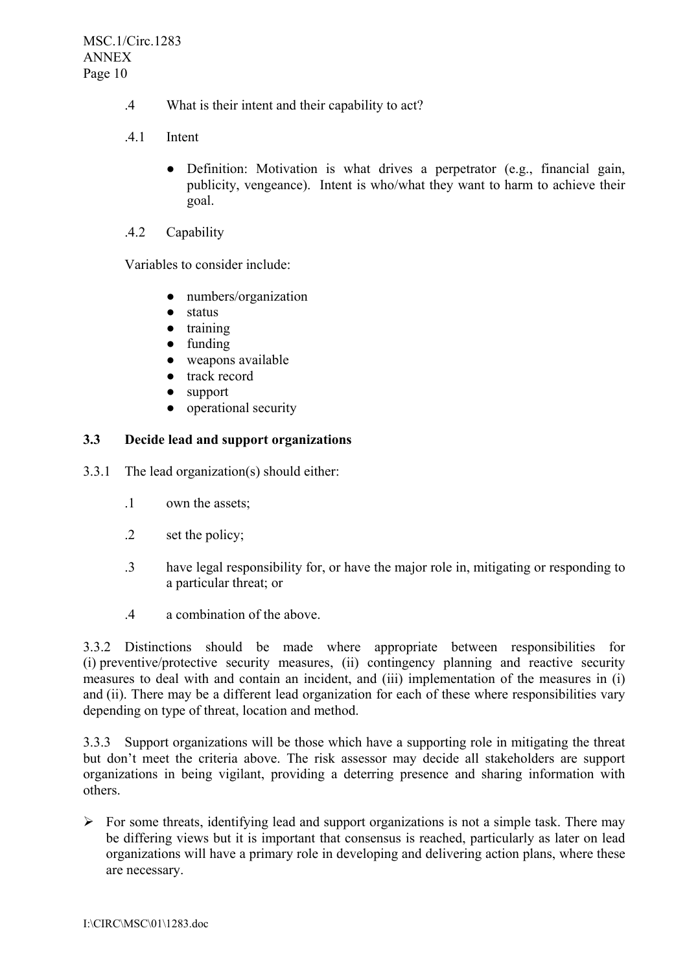- .4 What is their intent and their capability to act?
- .4.1 Intent
	- Definition: Motivation is what drives a perpetrator (e.g., financial gain, publicity, vengeance). Intent is who/what they want to harm to achieve their goal.
- .4.2 Capability

Variables to consider include:

- numbers/organization
- status
- training
- funding
- weapons available
- track record
- support
- operational security

### **3.3 Decide lead and support organizations**

3.3.1 The lead organization(s) should either:

- .1 own the assets;
- .2 set the policy;
- .3 have legal responsibility for, or have the major role in, mitigating or responding to a particular threat; or
- .4 a combination of the above.

3.3.2 Distinctions should be made where appropriate between responsibilities for (i) preventive/protective security measures, (ii) contingency planning and reactive security measures to deal with and contain an incident, and (iii) implementation of the measures in (i) and (ii). There may be a different lead organization for each of these where responsibilities vary depending on type of threat, location and method.

3.3.3 Support organizations will be those which have a supporting role in mitigating the threat but don't meet the criteria above. The risk assessor may decide all stakeholders are support organizations in being vigilant, providing a deterring presence and sharing information with others.

 $\triangleright$  For some threats, identifying lead and support organizations is not a simple task. There may be differing views but it is important that consensus is reached, particularly as later on lead organizations will have a primary role in developing and delivering action plans, where these are necessary.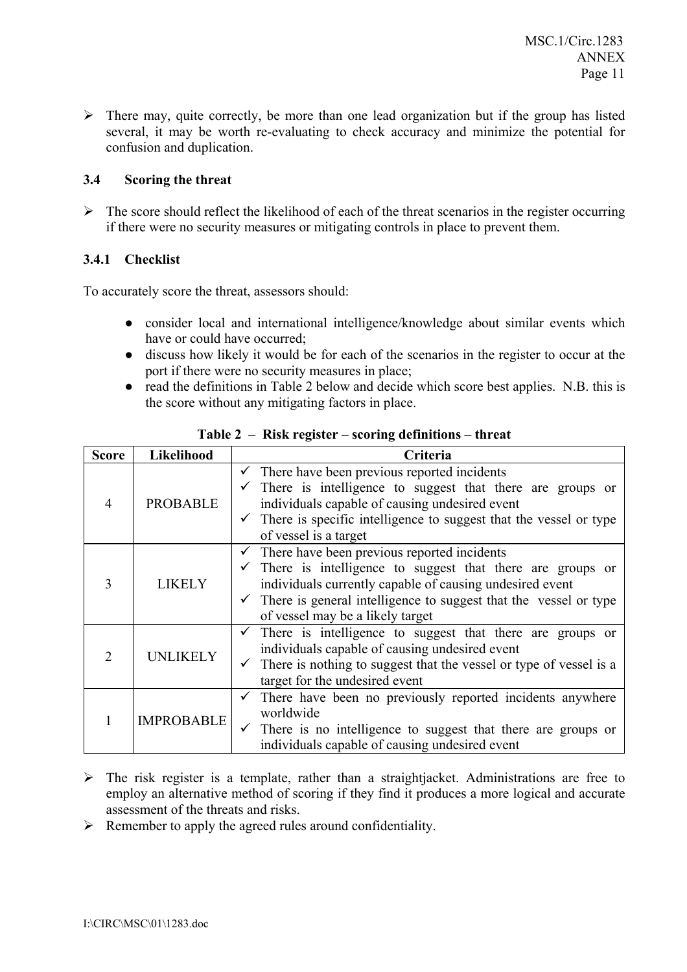$\triangleright$  There may, quite correctly, be more than one lead organization but if the group has listed several, it may be worth re-evaluating to check accuracy and minimize the potential for confusion and duplication.

# **3.4 Scoring the threat**

 $\triangleright$  The score should reflect the likelihood of each of the threat scenarios in the register occurring if there were no security measures or mitigating controls in place to prevent them.

# **3.4.1 Checklist**

To accurately score the threat, assessors should:

- consider local and international intelligence/knowledge about similar events which have or could have occurred;
- discuss how likely it would be for each of the scenarios in the register to occur at the port if there were no security measures in place;
- read the definitions in Table 2 below and decide which score best applies. N.B. this is the score without any mitigating factors in place.

| <b>Score</b>   | Likelihood        | Criteria                                                                                                                                                                                                                                                                                                            |  |  |  |  |
|----------------|-------------------|---------------------------------------------------------------------------------------------------------------------------------------------------------------------------------------------------------------------------------------------------------------------------------------------------------------------|--|--|--|--|
| $\overline{4}$ | <b>PROBABLE</b>   | $\checkmark$ There have been previous reported incidents<br>There is intelligence to suggest that there are groups or<br>individuals capable of causing undesired event<br>$\checkmark$ There is specific intelligence to suggest that the vessel or type<br>of vessel is a target                                  |  |  |  |  |
| 3              | LIKELY            | $\checkmark$ There have been previous reported incidents<br>$\checkmark$ There is intelligence to suggest that there are groups or<br>individuals currently capable of causing undesired event<br>$\checkmark$ There is general intelligence to suggest that the vessel or type<br>of vessel may be a likely target |  |  |  |  |
| $\mathfrak{D}$ | <b>UNLIKELY</b>   | $\checkmark$ There is intelligence to suggest that there are groups or<br>individuals capable of causing undesired event<br>$\checkmark$ There is nothing to suggest that the vessel or type of vessel is a<br>target for the undesired event                                                                       |  |  |  |  |
|                | <b>IMPROBABLE</b> | There have been no previously reported incidents anywhere<br>$\checkmark$<br>worldwide<br>There is no intelligence to suggest that there are groups or<br>individuals capable of causing undesired event                                                                                                            |  |  |  |  |

**Table 2 – Risk register – scoring definitions – threat** 

- $\triangleright$  The risk register is a template, rather than a straightjacket. Administrations are free to employ an alternative method of scoring if they find it produces a more logical and accurate assessment of the threats and risks.
- $\triangleright$  Remember to apply the agreed rules around confidentiality.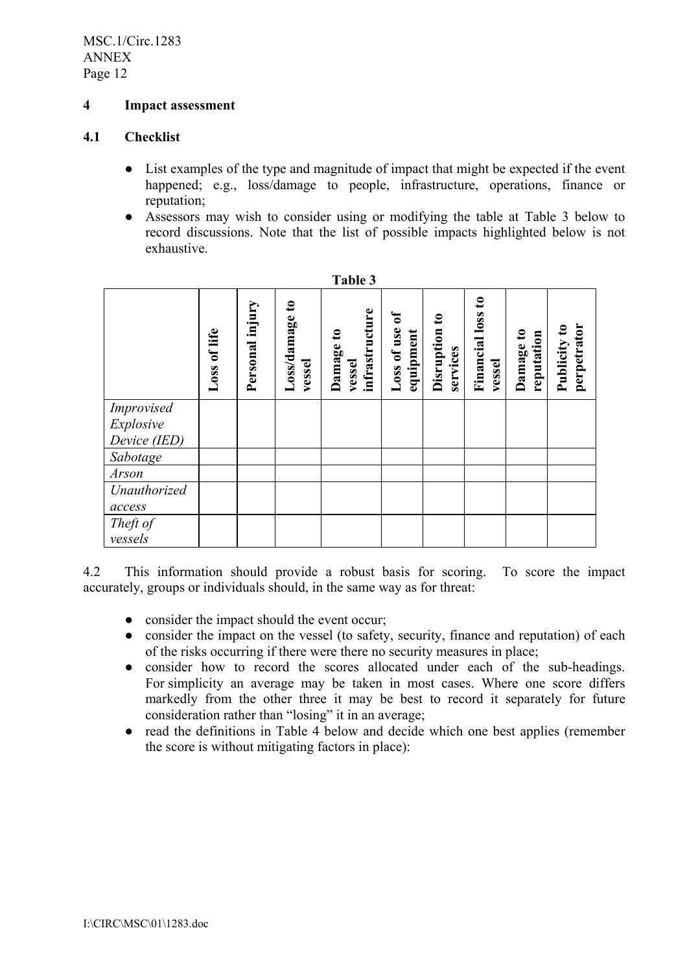MSC.1/Circ.1283 ANNEX Page 12

### **4 Impact assessment**

#### **4.1 Checklist**

- List examples of the type and magnitude of impact that might be expected if the event happened; e.g., loss/damage to people, infrastructure, operations, finance or reputation;
- Assessors may wish to consider using or modifying the table at Table 3 below to record discussions. Note that the list of possible impacts highlighted below is not exhaustive.

|              | Loss of life | Personal injury | Loss/damage to<br>vessel | infrastructure<br>$\mathbf{e}$<br>Damage<br>vessel | ัธ<br>Loss of use<br>equipment | $\boldsymbol{\mathsf{s}}$<br>Disruption<br>services | $\mathbf{c}$<br><b>Financial loss</b><br>vessel | Damage to<br>reputation | perpetrator<br>Publicity to |
|--------------|--------------|-----------------|--------------------------|----------------------------------------------------|--------------------------------|-----------------------------------------------------|-------------------------------------------------|-------------------------|-----------------------------|
| Improvised   |              |                 |                          |                                                    |                                |                                                     |                                                 |                         |                             |
| Explosive    |              |                 |                          |                                                    |                                |                                                     |                                                 |                         |                             |
| Device (IED) |              |                 |                          |                                                    |                                |                                                     |                                                 |                         |                             |
| Sabotage     |              |                 |                          |                                                    |                                |                                                     |                                                 |                         |                             |
| Arson        |              |                 |                          |                                                    |                                |                                                     |                                                 |                         |                             |
| Unauthorized |              |                 |                          |                                                    |                                |                                                     |                                                 |                         |                             |
| access       |              |                 |                          |                                                    |                                |                                                     |                                                 |                         |                             |
| Theft of     |              |                 |                          |                                                    |                                |                                                     |                                                 |                         |                             |
| vessels      |              |                 |                          |                                                    |                                |                                                     |                                                 |                         |                             |

| able |  |  |  |  |
|------|--|--|--|--|
|------|--|--|--|--|

4.2 This information should provide a robust basis for scoring. To score the impact accurately, groups or individuals should, in the same way as for threat:

- consider the impact should the event occur;
- consider the impact on the vessel (to safety, security, finance and reputation) of each of the risks occurring if there were there no security measures in place;
- consider how to record the scores allocated under each of the sub-headings. For simplicity an average may be taken in most cases. Where one score differs markedly from the other three it may be best to record it separately for future consideration rather than "losing" it in an average;
- read the definitions in Table 4 below and decide which one best applies (remember the score is without mitigating factors in place):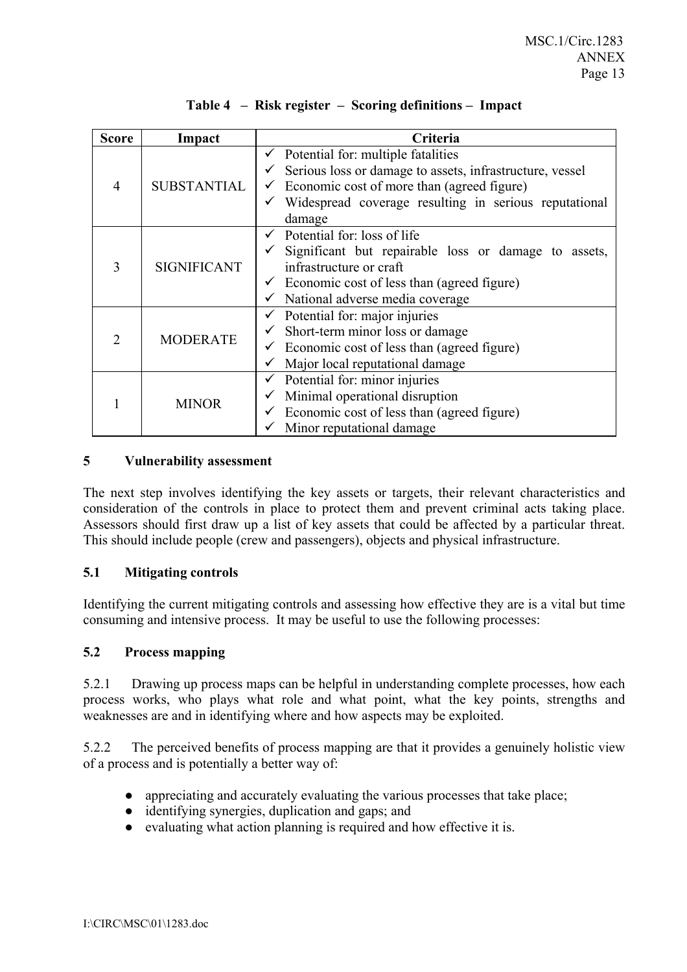| <b>Score</b> | Impact               | Criteria                                                 |
|--------------|----------------------|----------------------------------------------------------|
|              |                      | $\checkmark$ Potential for: multiple fatalities          |
|              |                      | Serious loss or damage to assets, infrastructure, vessel |
| 4            | <b>SUBSTANTIAL</b>   | Economic cost of more than (agreed figure)               |
|              |                      | Widespread coverage resulting in serious reputational    |
|              |                      | damage                                                   |
|              |                      | Potential for: loss of life                              |
| 3            | <b>SIGNIFICANT</b>   | Significant but repairable loss or damage to assets,     |
|              |                      | infrastructure or craft                                  |
|              |                      | Economic cost of less than (agreed figure)               |
|              |                      | National adverse media coverage<br>✓                     |
|              | <b>MODERATE</b><br>2 | Potential for: major injuries                            |
|              |                      | Short-term minor loss or damage                          |
|              |                      | Economic cost of less than (agreed figure)               |
|              |                      | Major local reputational damage                          |
|              |                      | Potential for: minor injuries<br>✓                       |
|              | <b>MINOR</b>         | Minimal operational disruption<br>✓                      |
|              |                      | Economic cost of less than (agreed figure)               |
|              |                      | Minor reputational damage                                |

# Table 4 – Risk register – Scoring definitions – Impact

#### **5 Vulnerability assessment**

The next step involves identifying the key assets or targets, their relevant characteristics and consideration of the controls in place to protect them and prevent criminal acts taking place. Assessors should first draw up a list of key assets that could be affected by a particular threat. This should include people (crew and passengers), objects and physical infrastructure.

#### **5.1 Mitigating controls**

Identifying the current mitigating controls and assessing how effective they are is a vital but time consuming and intensive process. It may be useful to use the following processes:

#### **5.2 Process mapping**

5.2.1 Drawing up process maps can be helpful in understanding complete processes, how each process works, who plays what role and what point, what the key points, strengths and weaknesses are and in identifying where and how aspects may be exploited.

5.2.2 The perceived benefits of process mapping are that it provides a genuinely holistic view of a process and is potentially a better way of:

- appreciating and accurately evaluating the various processes that take place;
- identifying synergies, duplication and gaps; and
- evaluating what action planning is required and how effective it is.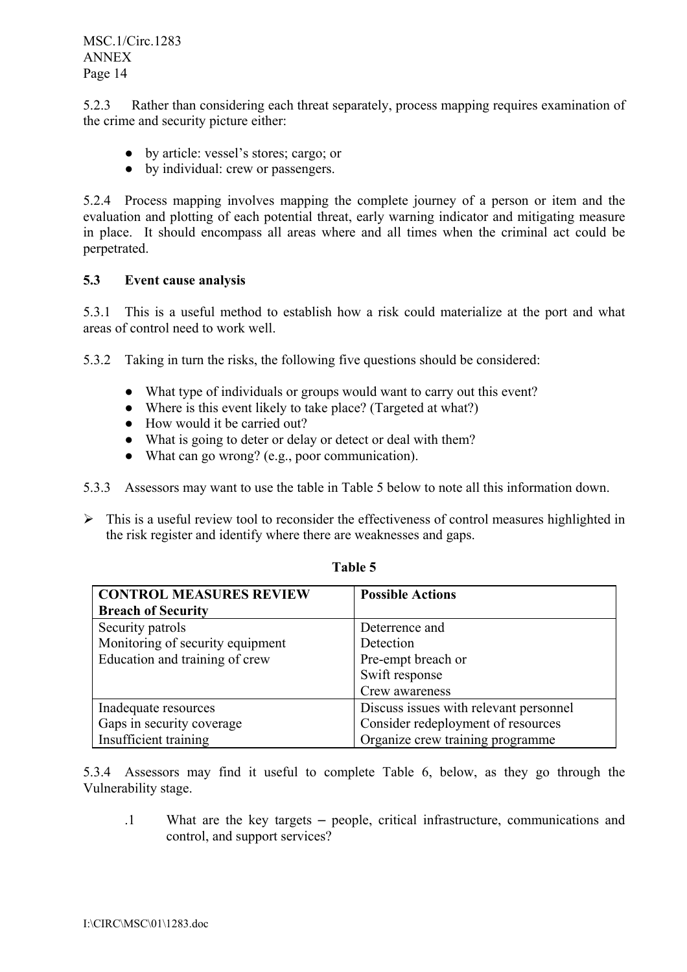5.2.3 Rather than considering each threat separately, process mapping requires examination of the crime and security picture either:

- by article: vessel's stores; cargo; or
- by individual: crew or passengers.

5.2.4 Process mapping involves mapping the complete journey of a person or item and the evaluation and plotting of each potential threat, early warning indicator and mitigating measure in place. It should encompass all areas where and all times when the criminal act could be perpetrated.

#### **5.3 Event cause analysis**

5.3.1 This is a useful method to establish how a risk could materialize at the port and what areas of control need to work well.

5.3.2 Taking in turn the risks, the following five questions should be considered:

- What type of individuals or groups would want to carry out this event?
- Where is this event likely to take place? (Targeted at what?)
- How would it be carried out?
- What is going to deter or delay or detect or deal with them?
- What can go wrong? (e.g., poor communication).
- 5.3.3 Assessors may want to use the table in Table 5 below to note all this information down.
- $\triangleright$  This is a useful review tool to reconsider the effectiveness of control measures highlighted in the risk register and identify where there are weaknesses and gaps.

| <b>CONTROL MEASURES REVIEW</b>   | <b>Possible Actions</b>                |
|----------------------------------|----------------------------------------|
| <b>Breach of Security</b>        |                                        |
| Security patrols                 | Deterrence and                         |
| Monitoring of security equipment | Detection                              |
| Education and training of crew   | Pre-empt breach or                     |
|                                  | Swift response                         |
|                                  | Crew awareness                         |
| Inadequate resources             | Discuss issues with relevant personnel |
| Gaps in security coverage        | Consider redeployment of resources     |
| Insufficient training            | Organize crew training programme       |

**Table 5** 

5.3.4 Assessors may find it useful to complete Table 6, below, as they go through the Vulnerability stage.

 $1$  What are the key targets – people, critical infrastructure, communications and control, and support services?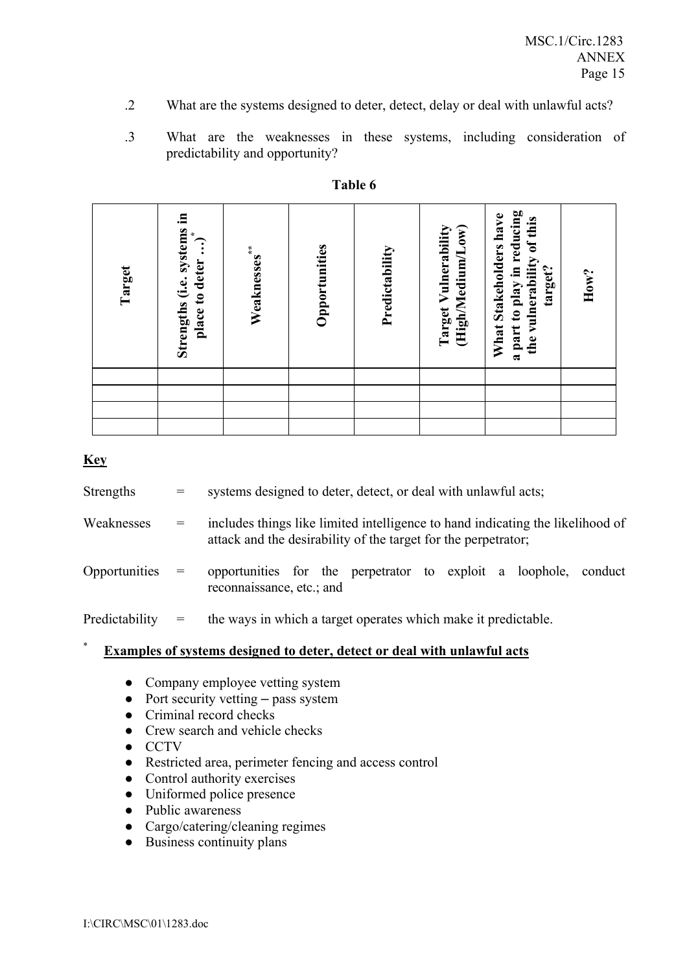- .2 What are the systems designed to deter, detect, delay or deal with unlawful acts?
- .3 What are the weaknesses in these systems, including consideration of predictability and opportunity?

| Target | Strengths (i.e. systems in<br>place to deter ) | Weaknesses <sup>**</sup> | Opportunities | Predictability | Target Vulnerability<br>(High/Medium/Low) | a part to play in reducing<br>What Stakeholders have<br>the vulnerability of this<br>target? | How? |
|--------|------------------------------------------------|--------------------------|---------------|----------------|-------------------------------------------|----------------------------------------------------------------------------------------------|------|
|        |                                                |                          |               |                |                                           |                                                                                              |      |
|        |                                                |                          |               |                |                                           |                                                                                              |      |
|        |                                                |                          |               |                |                                           |                                                                                              |      |
|        |                                                |                          |               |                |                                           |                                                                                              |      |

## **Table 6**

### **Key**

| *<br>Examples of systems designed to deter, detect or deal with unlawful acts |                                     |                                                                                                                                                  |  |  |  |
|-------------------------------------------------------------------------------|-------------------------------------|--------------------------------------------------------------------------------------------------------------------------------------------------|--|--|--|
| Predictability                                                                | $\hspace*{0.4em} = \hspace*{0.4em}$ | the ways in which a target operates which make it predictable.                                                                                   |  |  |  |
| Opportunities                                                                 | $=$                                 | opportunities for the perpetrator to exploit a loophole, conduct<br>reconnaissance, etc.; and                                                    |  |  |  |
| Weaknesses                                                                    | $=$                                 | includes things like limited intelligence to hand indicating the likelihood of<br>attack and the desirability of the target for the perpetrator; |  |  |  |
| Strengths                                                                     | $=$                                 | systems designed to deter, detect, or deal with unlawful acts;                                                                                   |  |  |  |

- Company employee vetting system
- $\bullet$  Port security vetting pass system
- Criminal record checks
- Crew search and vehicle checks
- CCTV
- Restricted area, perimeter fencing and access control
- Control authority exercises
- Uniformed police presence
- Public awareness
- Cargo/catering/cleaning regimes
- Business continuity plans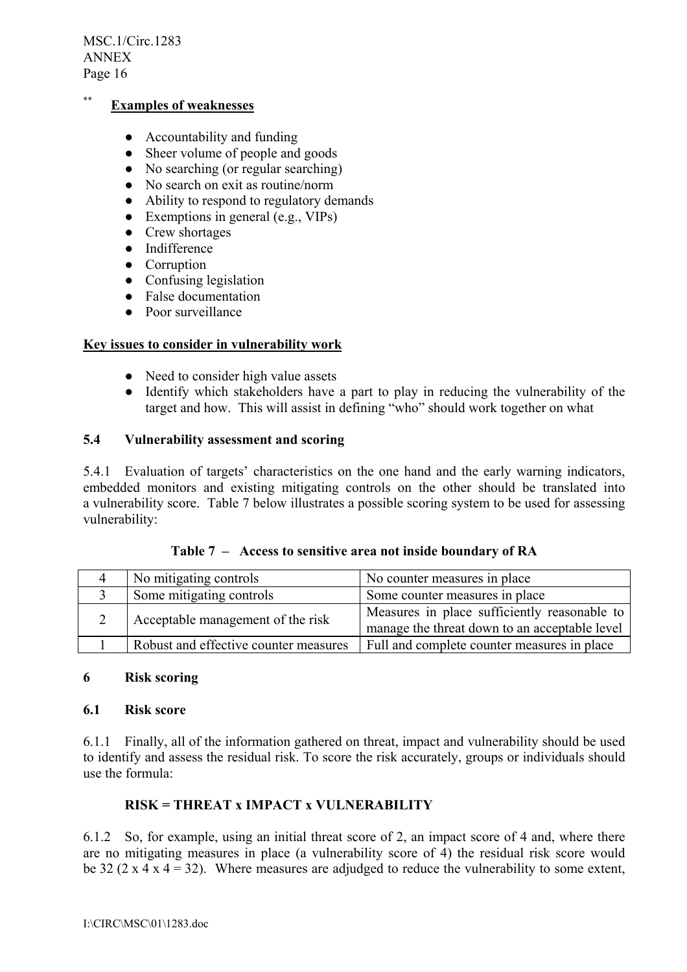MSC.1/Circ.1283 ANNEX Page 16

# \*\* **Examples of weaknesses**

- Accountability and funding
- Sheer volume of people and goods
- No searching (or regular searching)
- No search on exit as routine/norm
- Ability to respond to regulatory demands
- $\bullet$  Exemptions in general (e.g., VIPs)
- Crew shortages
- Indifference
- Corruption
- Confusing legislation
- False documentation
- Poor surveillance

### **Key issues to consider in vulnerability work**

- Need to consider high value assets
- Identify which stakeholders have a part to play in reducing the vulnerability of the target and how. This will assist in defining "who" should work together on what

#### **5.4 Vulnerability assessment and scoring**

5.4.1 Evaluation of targets' characteristics on the one hand and the early warning indicators, embedded monitors and existing mitigating controls on the other should be translated into a vulnerability score. Table 7 below illustrates a possible scoring system to be used for assessing vulnerability:

|  |  | Table 7 – Access to sensitive area not inside boundary of RA |
|--|--|--------------------------------------------------------------|
|--|--|--------------------------------------------------------------|

| No mitigating controls                | No counter measures in place                                                                  |
|---------------------------------------|-----------------------------------------------------------------------------------------------|
| Some mitigating controls              | Some counter measures in place                                                                |
| Acceptable management of the risk     | Measures in place sufficiently reasonable to<br>manage the threat down to an acceptable level |
| Robust and effective counter measures | Full and complete counter measures in place                                                   |

#### **6 Risk scoring**

#### **6.1 Risk score**

6.1.1 Finally, all of the information gathered on threat, impact and vulnerability should be used to identify and assess the residual risk. To score the risk accurately, groups or individuals should use the formula:

# **RISK = THREAT x IMPACT x VULNERABILITY**

6.1.2 So, for example, using an initial threat score of 2, an impact score of 4 and, where there are no mitigating measures in place (a vulnerability score of 4) the residual risk score would be 32 (2 x 4 x 4 = 32). Where measures are adjudged to reduce the vulnerability to some extent,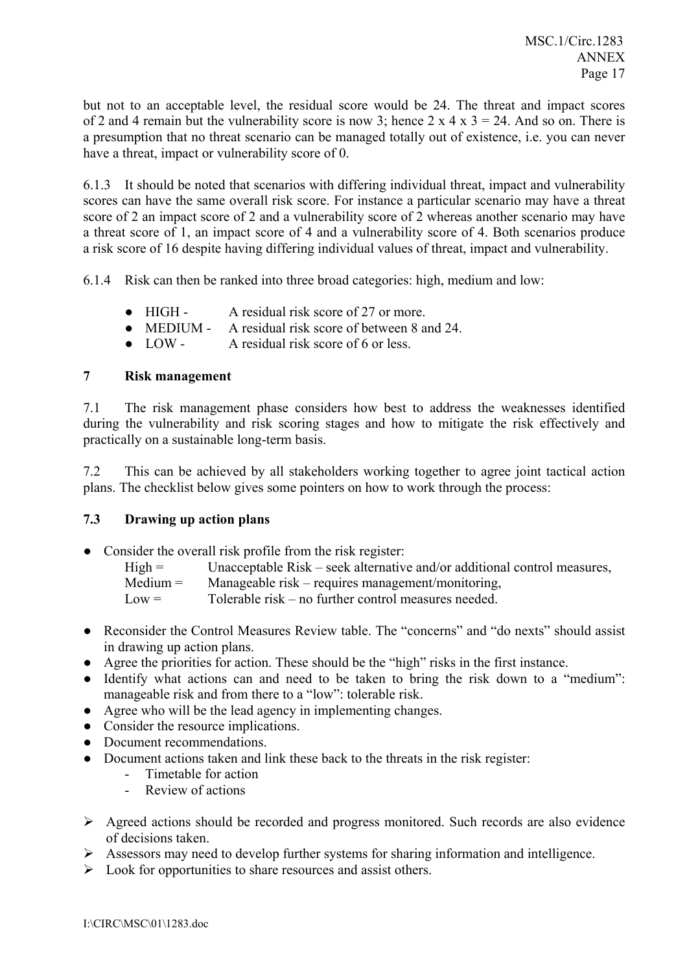but not to an acceptable level, the residual score would be 24. The threat and impact scores of 2 and 4 remain but the vulnerability score is now 3; hence  $2 \times 4 \times 3 = 24$ . And so on. There is a presumption that no threat scenario can be managed totally out of existence, i.e. you can never have a threat, impact or vulnerability score of 0.

6.1.3 It should be noted that scenarios with differing individual threat, impact and vulnerability scores can have the same overall risk score. For instance a particular scenario may have a threat score of 2 an impact score of 2 and a vulnerability score of 2 whereas another scenario may have a threat score of 1, an impact score of 4 and a vulnerability score of 4. Both scenarios produce a risk score of 16 despite having differing individual values of threat, impact and vulnerability.

6.1.4 Risk can then be ranked into three broad categories: high, medium and low:

- HIGH A residual risk score of 27 or more.
- MEDIUM A residual risk score of between 8 and 24.
- LOW A residual risk score of 6 or less.

# **7 Risk management**

7.1 The risk management phase considers how best to address the weaknesses identified during the vulnerability and risk scoring stages and how to mitigate the risk effectively and practically on a sustainable long-term basis.

7.2 This can be achieved by all stakeholders working together to agree joint tactical action plans. The checklist below gives some pointers on how to work through the process:

#### **7.3 Drawing up action plans**

- Consider the overall risk profile from the risk register:
	- $High =$  Unacceptable Risk seek alternative and/or additional control measures,
	- $Median = 1$  Manageable risk requires management/monitoring,
	- $Low =$  Tolerable risk no further control measures needed.
- Reconsider the Control Measures Review table. The "concerns" and "do nexts" should assist in drawing up action plans.
- Agree the priorities for action. These should be the "high" risks in the first instance.
- $\bullet$  Identify what actions can and need to be taken to bring the risk down to a "medium": manageable risk and from there to a "low": tolerable risk.
- Agree who will be the lead agency in implementing changes.
- Consider the resource implications.
- Document recommendations.
- Document actions taken and link these back to the threats in the risk register:
	- Timetable for action
	- Review of actions
- $\triangleright$  Agreed actions should be recorded and progress monitored. Such records are also evidence of decisions taken.
- ! Assessors may need to develop further systems for sharing information and intelligence.
- $\triangleright$  Look for opportunities to share resources and assist others.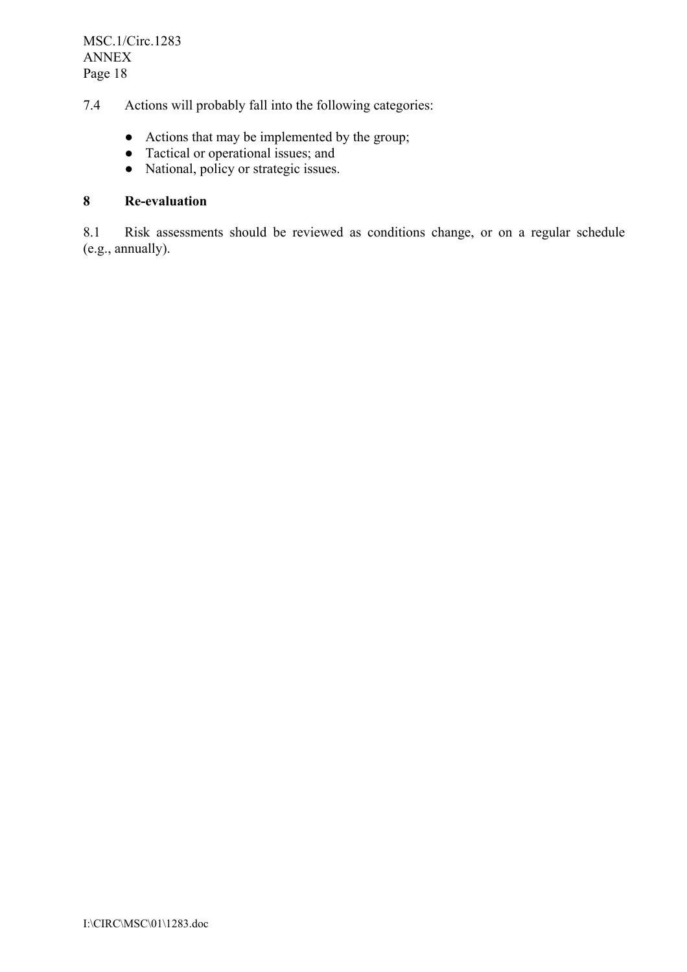7.4 Actions will probably fall into the following categories:

- Actions that may be implemented by the group;
- Tactical or operational issues; and
- National, policy or strategic issues.

# **8 Re-evaluation**

8.1 Risk assessments should be reviewed as conditions change, or on a regular schedule (e.g., annually).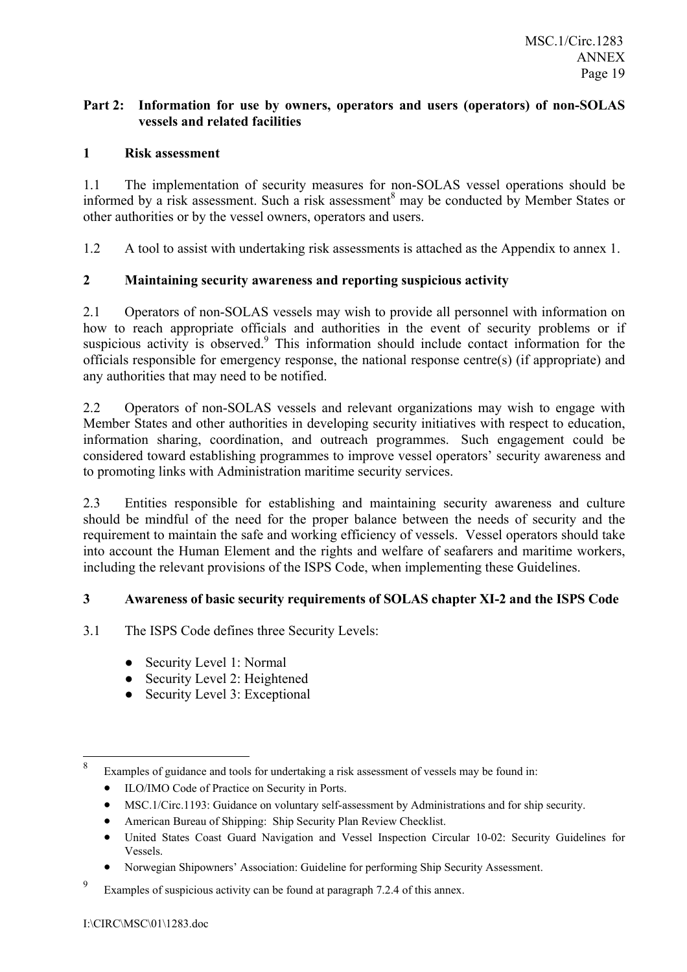# **Part 2: Information for use by owners, operators and users (operators) of non-SOLAS vessels and related facilities**

# **1 Risk assessment**

1.1 The implementation of security measures for non-SOLAS vessel operations should be informed by a risk assessment. Such a risk assessment<sup>8</sup> may be conducted by Member States or other authorities or by the vessel owners, operators and users.

1.2 A tool to assist with undertaking risk assessments is attached as the Appendix to annex 1.

# **2 Maintaining security awareness and reporting suspicious activity**

2.1 Operators of non-SOLAS vessels may wish to provide all personnel with information on how to reach appropriate officials and authorities in the event of security problems or if suspicious activity is observed. $9$  This information should include contact information for the officials responsible for emergency response, the national response centre(s) (if appropriate) and any authorities that may need to be notified.

2.2 Operators of non-SOLAS vessels and relevant organizations may wish to engage with Member States and other authorities in developing security initiatives with respect to education, information sharing, coordination, and outreach programmes. Such engagement could be considered toward establishing programmes to improve vessel operators' security awareness and to promoting links with Administration maritime security services.

2.3 Entities responsible for establishing and maintaining security awareness and culture should be mindful of the need for the proper balance between the needs of security and the requirement to maintain the safe and working efficiency of vessels. Vessel operators should take into account the Human Element and the rights and welfare of seafarers and maritime workers, including the relevant provisions of the ISPS Code, when implementing these Guidelines.

# **3 Awareness of basic security requirements of SOLAS chapter XI-2 and the ISPS Code**

- 3.1 The ISPS Code defines three Security Levels:
	- Security Level 1: Normal
	- Security Level 2: Heightened
	- Security Level 3: Exceptional

- ILO/IMO Code of Practice on Security in Ports.
- MSC.1/Circ.1193: Guidance on voluntary self-assessment by Administrations and for ship security.
- American Bureau of Shipping: Ship Security Plan Review Checklist.
- United States Coast Guard Navigation and Vessel Inspection Circular 10-02: Security Guidelines for Vessels.
- Norwegian Shipownersí Association: Guideline for performing Ship Security Assessment.

 8 Examples of guidance and tools for undertaking a risk assessment of vessels may be found in:

<sup>9</sup> Examples of suspicious activity can be found at paragraph 7.2.4 of this annex.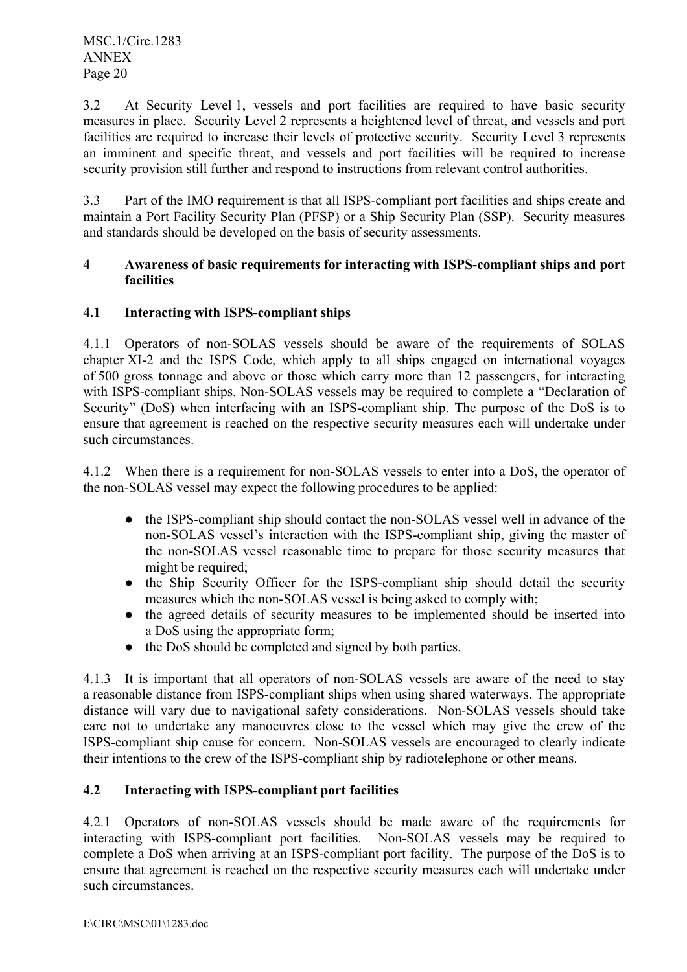3.2 At Security Level 1, vessels and port facilities are required to have basic security measures in place. Security Level 2 represents a heightened level of threat, and vessels and port facilities are required to increase their levels of protective security. Security Level 3 represents an imminent and specific threat, and vessels and port facilities will be required to increase security provision still further and respond to instructions from relevant control authorities.

3.3 Part of the IMO requirement is that all ISPS-compliant port facilities and ships create and maintain a Port Facility Security Plan (PFSP) or a Ship Security Plan (SSP). Security measures and standards should be developed on the basis of security assessments.

### **4 Awareness of basic requirements for interacting with ISPS-compliant ships and port facilities**

# **4.1 Interacting with ISPS-compliant ships**

4.1.1 Operators of non-SOLAS vessels should be aware of the requirements of SOLAS chapter XI-2 and the ISPS Code, which apply to all ships engaged on international voyages of 500 gross tonnage and above or those which carry more than 12 passengers, for interacting with ISPS-compliant ships. Non-SOLAS vessels may be required to complete a "Declaration of Security" (DoS) when interfacing with an ISPS-compliant ship. The purpose of the DoS is to ensure that agreement is reached on the respective security measures each will undertake under such circumstances.

4.1.2 When there is a requirement for non-SOLAS vessels to enter into a DoS, the operator of the non-SOLAS vessel may expect the following procedures to be applied:

- the ISPS-compliant ship should contact the non-SOLAS vessel well in advance of the non-SOLAS vessel's interaction with the ISPS-compliant ship, giving the master of the non-SOLAS vessel reasonable time to prepare for those security measures that might be required:
- the Ship Security Officer for the ISPS-compliant ship should detail the security measures which the non-SOLAS vessel is being asked to comply with;
- the agreed details of security measures to be implemented should be inserted into a DoS using the appropriate form;
- the DoS should be completed and signed by both parties.

4.1.3 It is important that all operators of non-SOLAS vessels are aware of the need to stay a reasonable distance from ISPS-compliant ships when using shared waterways. The appropriate distance will vary due to navigational safety considerations. Non-SOLAS vessels should take care not to undertake any manoeuvres close to the vessel which may give the crew of the ISPS-compliant ship cause for concern. Non-SOLAS vessels are encouraged to clearly indicate their intentions to the crew of the ISPS-compliant ship by radiotelephone or other means.

# **4.2 Interacting with ISPS-compliant port facilities**

4.2.1 Operators of non-SOLAS vessels should be made aware of the requirements for interacting with ISPS-compliant port facilities. Non-SOLAS vessels may be required to complete a DoS when arriving at an ISPS-compliant port facility. The purpose of the DoS is to ensure that agreement is reached on the respective security measures each will undertake under such circumstances.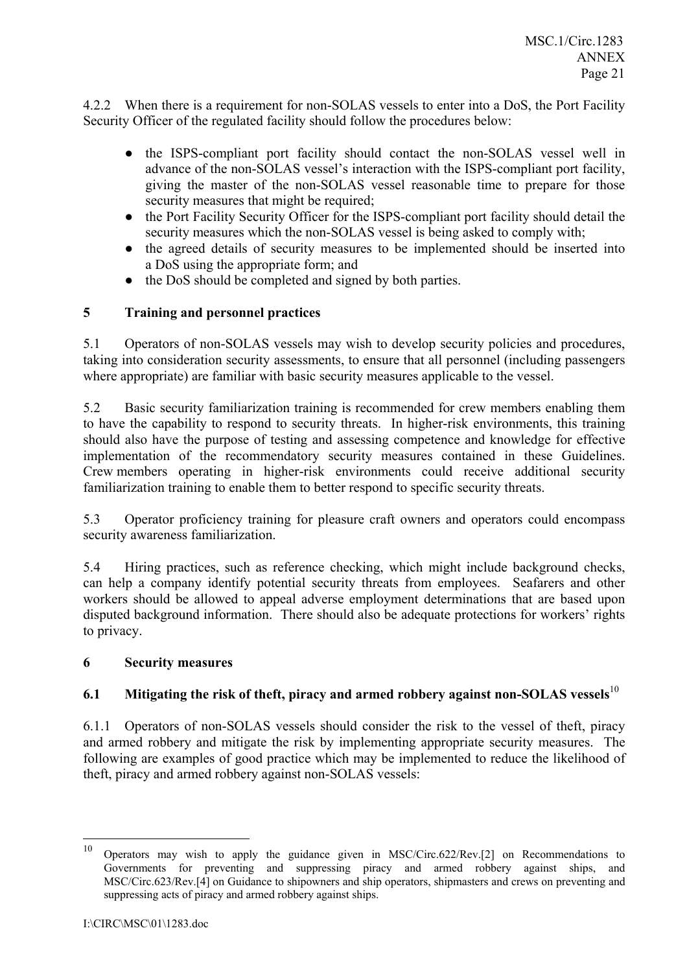4.2.2 When there is a requirement for non-SOLAS vessels to enter into a DoS, the Port Facility Security Officer of the regulated facility should follow the procedures below:

- the ISPS-compliant port facility should contact the non-SOLAS vessel well in advance of the non-SOLAS vessel's interaction with the ISPS-compliant port facility, giving the master of the non-SOLAS vessel reasonable time to prepare for those security measures that might be required;
- the Port Facility Security Officer for the ISPS-compliant port facility should detail the security measures which the non-SOLAS vessel is being asked to comply with;
- the agreed details of security measures to be implemented should be inserted into a DoS using the appropriate form; and
- the DoS should be completed and signed by both parties.

# **5 Training and personnel practices**

5.1 Operators of non-SOLAS vessels may wish to develop security policies and procedures, taking into consideration security assessments, to ensure that all personnel (including passengers where appropriate) are familiar with basic security measures applicable to the vessel.

5.2 Basic security familiarization training is recommended for crew members enabling them to have the capability to respond to security threats. In higher-risk environments, this training should also have the purpose of testing and assessing competence and knowledge for effective implementation of the recommendatory security measures contained in these Guidelines. Crew members operating in higher-risk environments could receive additional security familiarization training to enable them to better respond to specific security threats.

5.3 Operator proficiency training for pleasure craft owners and operators could encompass security awareness familiarization.

5.4 Hiring practices, such as reference checking, which might include background checks, can help a company identify potential security threats from employees. Seafarers and other workers should be allowed to appeal adverse employment determinations that are based upon disputed background information. There should also be adequate protections for workers' rights to privacy.

# **6 Security measures**

# **6.1 Mitigating the risk of theft, piracy and armed robbery against non-SOLAS vessels**<sup>10</sup>

6.1.1 Operators of non-SOLAS vessels should consider the risk to the vessel of theft, piracy and armed robbery and mitigate the risk by implementing appropriate security measures. The following are examples of good practice which may be implemented to reduce the likelihood of theft, piracy and armed robbery against non-SOLAS vessels:

<sup>10</sup> <sup>10</sup> Operators may wish to apply the guidance given in MSC/Circ.622/Rev.[2] on Recommendations to Governments for preventing and suppressing piracy and armed robbery against ships, and MSC/Circ.623/Rev.[4] on Guidance to shipowners and ship operators, shipmasters and crews on preventing and suppressing acts of piracy and armed robbery against ships.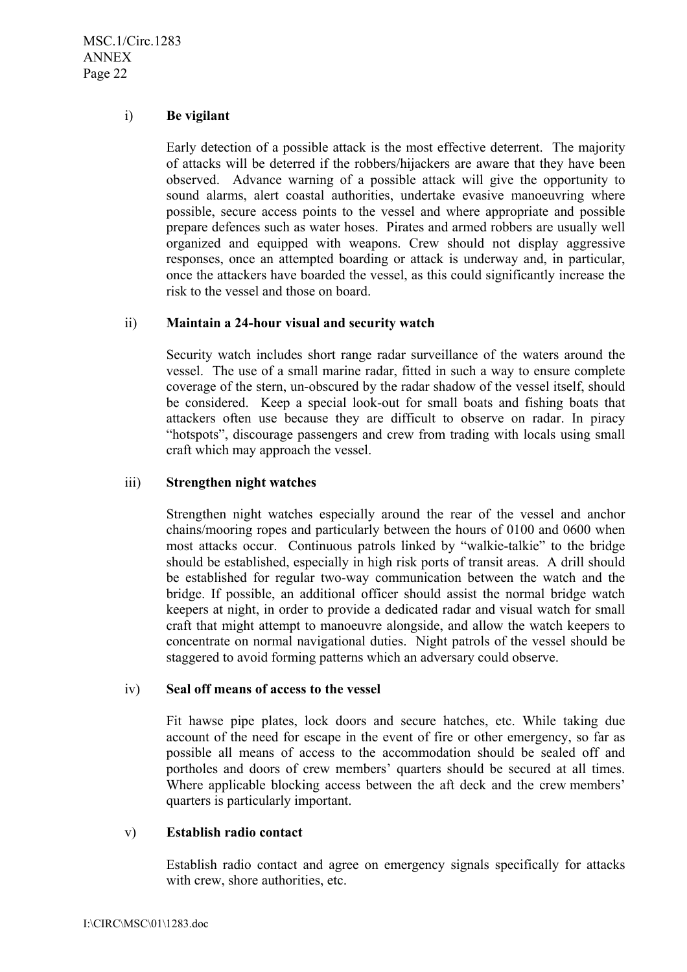MSC.1/Circ.1283 ANNEX Page 22

### i) **Be vigilant**

Early detection of a possible attack is the most effective deterrent. The majority of attacks will be deterred if the robbers/hijackers are aware that they have been observed. Advance warning of a possible attack will give the opportunity to sound alarms, alert coastal authorities, undertake evasive manoeuvring where possible, secure access points to the vessel and where appropriate and possible prepare defences such as water hoses. Pirates and armed robbers are usually well organized and equipped with weapons. Crew should not display aggressive responses, once an attempted boarding or attack is underway and, in particular, once the attackers have boarded the vessel, as this could significantly increase the risk to the vessel and those on board.

### ii) **Maintain a 24-hour visual and security watch**

Security watch includes short range radar surveillance of the waters around the vessel. The use of a small marine radar, fitted in such a way to ensure complete coverage of the stern, un-obscured by the radar shadow of the vessel itself, should be considered. Keep a special look-out for small boats and fishing boats that attackers often use because they are difficult to observe on radar. In piracy "hotspots", discourage passengers and crew from trading with locals using small craft which may approach the vessel.

### iii) **Strengthen night watches**

Strengthen night watches especially around the rear of the vessel and anchor chains/mooring ropes and particularly between the hours of 0100 and 0600 when most attacks occur. Continuous patrols linked by "walkie-talkie" to the bridge should be established, especially in high risk ports of transit areas. A drill should be established for regular two-way communication between the watch and the bridge. If possible, an additional officer should assist the normal bridge watch keepers at night, in order to provide a dedicated radar and visual watch for small craft that might attempt to manoeuvre alongside, and allow the watch keepers to concentrate on normal navigational duties. Night patrols of the vessel should be staggered to avoid forming patterns which an adversary could observe.

#### iv) **Seal off means of access to the vessel**

Fit hawse pipe plates, lock doors and secure hatches, etc. While taking due account of the need for escape in the event of fire or other emergency, so far as possible all means of access to the accommodation should be sealed off and portholes and doors of crew members' quarters should be secured at all times. Where applicable blocking access between the aft deck and the crew members' quarters is particularly important.

#### v) **Establish radio contact**

Establish radio contact and agree on emergency signals specifically for attacks with crew, shore authorities, etc.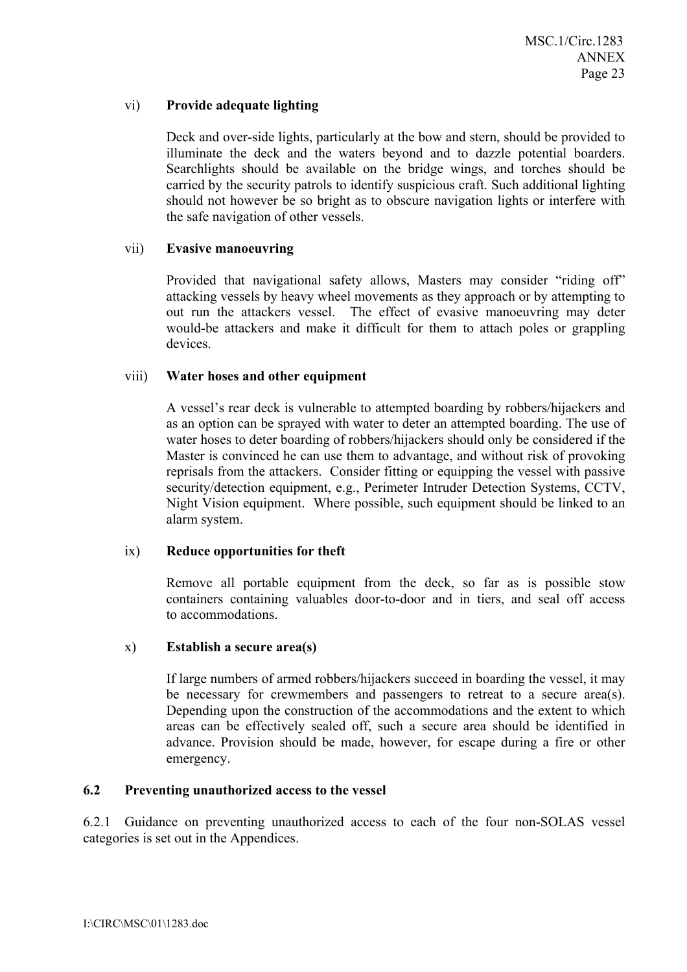# vi) **Provide adequate lighting**

Deck and over-side lights, particularly at the bow and stern, should be provided to illuminate the deck and the waters beyond and to dazzle potential boarders. Searchlights should be available on the bridge wings, and torches should be carried by the security patrols to identify suspicious craft. Such additional lighting should not however be so bright as to obscure navigation lights or interfere with the safe navigation of other vessels.

#### vii) **Evasive manoeuvring**

Provided that navigational safety allows, Masters may consider "riding off" attacking vessels by heavy wheel movements as they approach or by attempting to out run the attackers vessel. The effect of evasive manoeuvring may deter would-be attackers and make it difficult for them to attach poles or grappling devices.

### viii) **Water hoses and other equipment**

A vesselís rear deck is vulnerable to attempted boarding by robbers/hijackers and as an option can be sprayed with water to deter an attempted boarding. The use of water hoses to deter boarding of robbers/hijackers should only be considered if the Master is convinced he can use them to advantage, and without risk of provoking reprisals from the attackers. Consider fitting or equipping the vessel with passive security/detection equipment, e.g., Perimeter Intruder Detection Systems, CCTV, Night Vision equipment. Where possible, such equipment should be linked to an alarm system.

#### ix) **Reduce opportunities for theft**

Remove all portable equipment from the deck, so far as is possible stow containers containing valuables door-to-door and in tiers, and seal off access to accommodations.

#### x) **Establish a secure area(s)**

If large numbers of armed robbers/hijackers succeed in boarding the vessel, it may be necessary for crewmembers and passengers to retreat to a secure area(s). Depending upon the construction of the accommodations and the extent to which areas can be effectively sealed off, such a secure area should be identified in advance. Provision should be made, however, for escape during a fire or other emergency.

#### **6.2 Preventing unauthorized access to the vessel**

6.2.1 Guidance on preventing unauthorized access to each of the four non-SOLAS vessel categories is set out in the Appendices.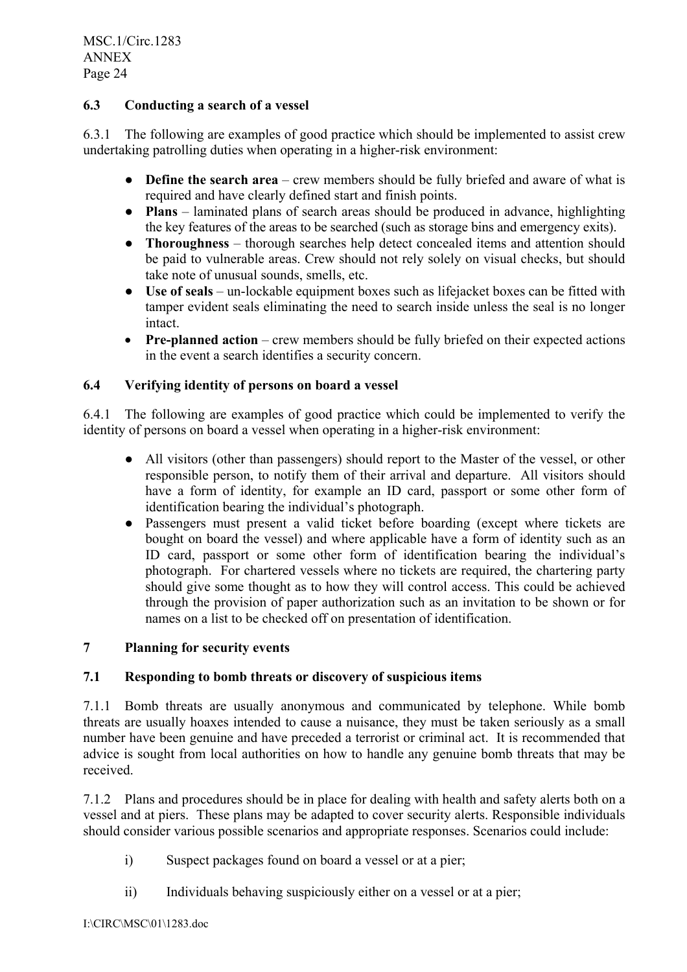MSC.1/Circ.1283 ANNEX Page 24

# **6.3 Conducting a search of a vessel**

6.3.1 The following are examples of good practice which should be implemented to assist crew undertaking patrolling duties when operating in a higher-risk environment:

- **Define the search area** crew members should be fully briefed and aware of what is required and have clearly defined start and finish points.
- **Plans** laminated plans of search areas should be produced in advance, highlighting the key features of the areas to be searched (such as storage bins and emergency exits).
- **Thoroughness** thorough searches help detect concealed items and attention should be paid to vulnerable areas. Crew should not rely solely on visual checks, but should take note of unusual sounds, smells, etc.
- **Use of seals** un-lockable equipment boxes such as lifejacket boxes can be fitted with tamper evident seals eliminating the need to search inside unless the seal is no longer intact.
- **Pre-planned action** crew members should be fully briefed on their expected actions in the event a search identifies a security concern.

# **6.4 Verifying identity of persons on board a vessel**

6.4.1 The following are examples of good practice which could be implemented to verify the identity of persons on board a vessel when operating in a higher-risk environment:

- All visitors (other than passengers) should report to the Master of the vessel, or other responsible person, to notify them of their arrival and departure. All visitors should have a form of identity, for example an ID card, passport or some other form of identification bearing the individual's photograph.
- Passengers must present a valid ticket before boarding (except where tickets are bought on board the vessel) and where applicable have a form of identity such as an ID card, passport or some other form of identification bearing the individual's photograph. For chartered vessels where no tickets are required, the chartering party should give some thought as to how they will control access. This could be achieved through the provision of paper authorization such as an invitation to be shown or for names on a list to be checked off on presentation of identification.

# **7 Planning for security events**

# **7.1 Responding to bomb threats or discovery of suspicious items**

7.1.1 Bomb threats are usually anonymous and communicated by telephone. While bomb threats are usually hoaxes intended to cause a nuisance, they must be taken seriously as a small number have been genuine and have preceded a terrorist or criminal act. It is recommended that advice is sought from local authorities on how to handle any genuine bomb threats that may be received.

7.1.2 Plans and procedures should be in place for dealing with health and safety alerts both on a vessel and at piers. These plans may be adapted to cover security alerts. Responsible individuals should consider various possible scenarios and appropriate responses. Scenarios could include:

- i) Suspect packages found on board a vessel or at a pier;
- ii) Individuals behaving suspiciously either on a vessel or at a pier;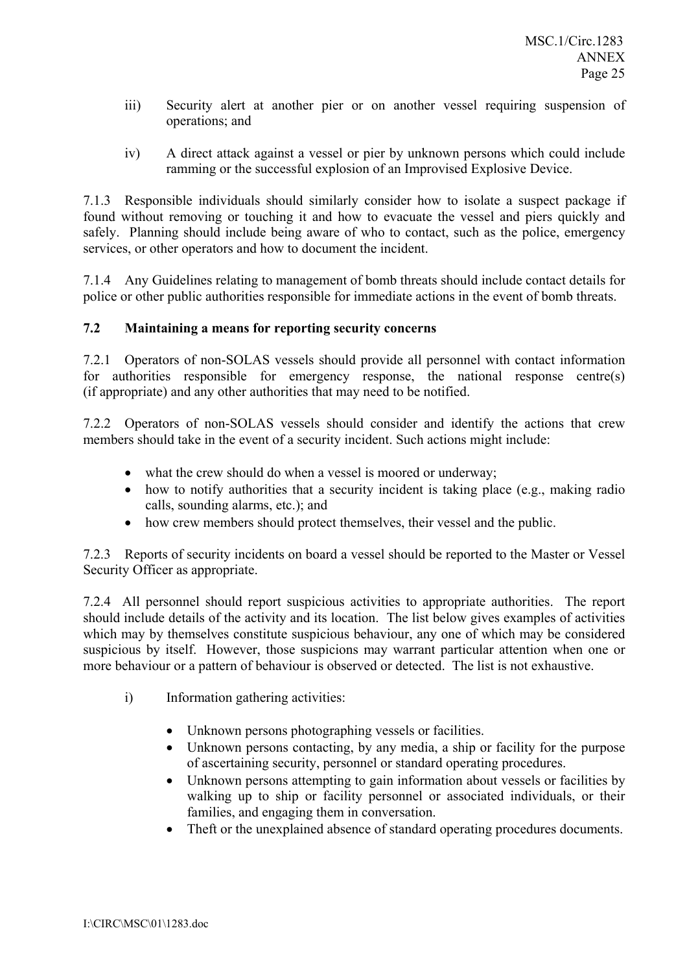- iii) Security alert at another pier or on another vessel requiring suspension of operations; and
- iv) A direct attack against a vessel or pier by unknown persons which could include ramming or the successful explosion of an Improvised Explosive Device.

7.1.3 Responsible individuals should similarly consider how to isolate a suspect package if found without removing or touching it and how to evacuate the vessel and piers quickly and safely. Planning should include being aware of who to contact, such as the police, emergency services, or other operators and how to document the incident.

7.1.4 Any Guidelines relating to management of bomb threats should include contact details for police or other public authorities responsible for immediate actions in the event of bomb threats.

# **7.2 Maintaining a means for reporting security concerns**

7.2.1 Operators of non-SOLAS vessels should provide all personnel with contact information for authorities responsible for emergency response, the national response centre(s) (if appropriate) and any other authorities that may need to be notified.

7.2.2 Operators of non-SOLAS vessels should consider and identify the actions that crew members should take in the event of a security incident. Such actions might include:

- what the crew should do when a vessel is moored or underway;
- how to notify authorities that a security incident is taking place (e.g., making radio calls, sounding alarms, etc.); and
- how crew members should protect themselves, their vessel and the public.

7.2.3 Reports of security incidents on board a vessel should be reported to the Master or Vessel Security Officer as appropriate.

7.2.4 All personnel should report suspicious activities to appropriate authorities. The report should include details of the activity and its location. The list below gives examples of activities which may by themselves constitute suspicious behaviour, any one of which may be considered suspicious by itself. However, those suspicions may warrant particular attention when one or more behaviour or a pattern of behaviour is observed or detected. The list is not exhaustive.

- i) Information gathering activities:
	- Unknown persons photographing vessels or facilities.
	- Unknown persons contacting, by any media, a ship or facility for the purpose of ascertaining security, personnel or standard operating procedures.
	- Unknown persons attempting to gain information about vessels or facilities by walking up to ship or facility personnel or associated individuals, or their families, and engaging them in conversation.
	- Theft or the unexplained absence of standard operating procedures documents.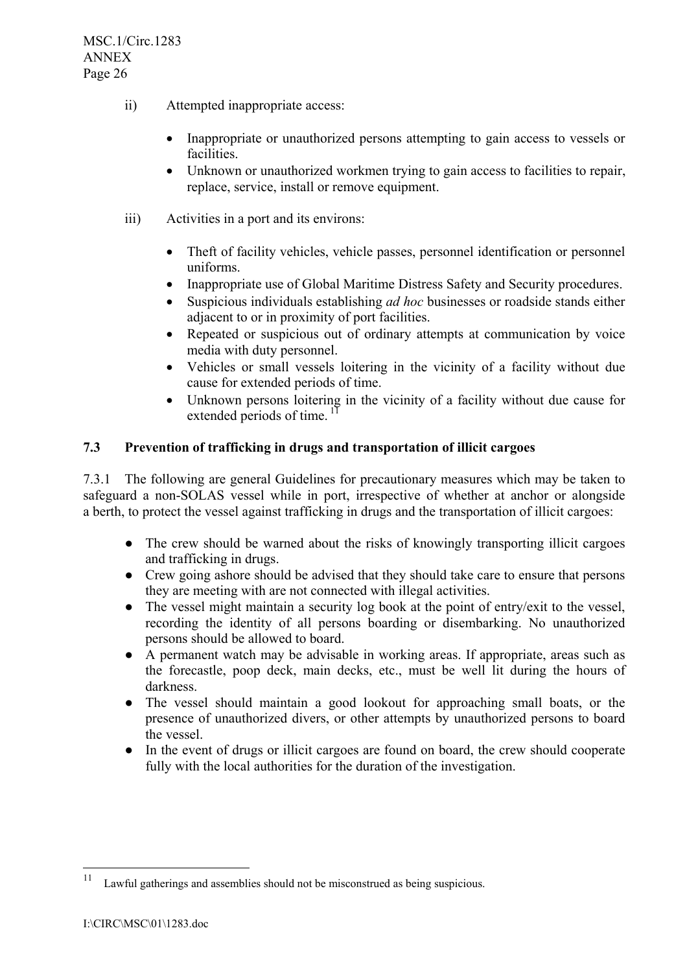- ii) Attempted inappropriate access:
	- Inappropriate or unauthorized persons attempting to gain access to vessels or facilities.
	- Unknown or unauthorized workmen trying to gain access to facilities to repair, replace, service, install or remove equipment.
- iii) Activities in a port and its environs:
	- Theft of facility vehicles, vehicle passes, personnel identification or personnel uniforms.
	- Inappropriate use of Global Maritime Distress Safety and Security procedures.
	- Suspicious individuals establishing *ad hoc* businesses or roadside stands either adjacent to or in proximity of port facilities.
	- Repeated or suspicious out of ordinary attempts at communication by voice media with duty personnel.
	- Vehicles or small vessels loitering in the vicinity of a facility without due cause for extended periods of time.
	- Unknown persons loitering in the vicinity of a facility without due cause for extended periods of time.  $\frac{1}{1}$

### **7.3 Prevention of trafficking in drugs and transportation of illicit cargoes**

7.3.1 The following are general Guidelines for precautionary measures which may be taken to safeguard a non-SOLAS vessel while in port, irrespective of whether at anchor or alongside a berth, to protect the vessel against trafficking in drugs and the transportation of illicit cargoes:

- The crew should be warned about the risks of knowingly transporting illicit cargoes and trafficking in drugs.
- Crew going ashore should be advised that they should take care to ensure that persons they are meeting with are not connected with illegal activities.
- The vessel might maintain a security log book at the point of entry/exit to the vessel, recording the identity of all persons boarding or disembarking. No unauthorized persons should be allowed to board.
- A permanent watch may be advisable in working areas. If appropriate, areas such as the forecastle, poop deck, main decks, etc., must be well lit during the hours of darkness.
- The vessel should maintain a good lookout for approaching small boats, or the presence of unauthorized divers, or other attempts by unauthorized persons to board the vessel.
- In the event of drugs or illicit cargoes are found on board, the crew should cooperate fully with the local authorities for the duration of the investigation.

 $11\,$ Lawful gatherings and assemblies should not be misconstrued as being suspicious.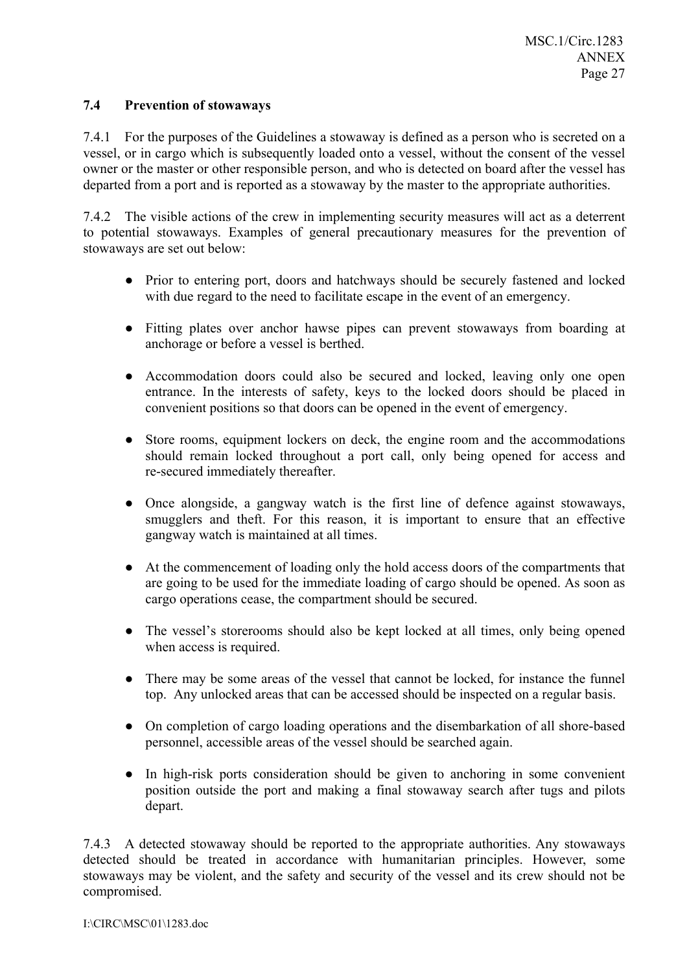### **7.4 Prevention of stowaways**

7.4.1 For the purposes of the Guidelines a stowaway is defined as a person who is secreted on a vessel, or in cargo which is subsequently loaded onto a vessel, without the consent of the vessel owner or the master or other responsible person, and who is detected on board after the vessel has departed from a port and is reported as a stowaway by the master to the appropriate authorities.

7.4.2 The visible actions of the crew in implementing security measures will act as a deterrent to potential stowaways. Examples of general precautionary measures for the prevention of stowaways are set out below:

- Prior to entering port, doors and hatchways should be securely fastened and locked with due regard to the need to facilitate escape in the event of an emergency.
- Fitting plates over anchor hawse pipes can prevent stowaways from boarding at anchorage or before a vessel is berthed.
- Accommodation doors could also be secured and locked, leaving only one open entrance. In the interests of safety, keys to the locked doors should be placed in convenient positions so that doors can be opened in the event of emergency.
- Store rooms, equipment lockers on deck, the engine room and the accommodations should remain locked throughout a port call, only being opened for access and re-secured immediately thereafter.
- Once alongside, a gangway watch is the first line of defence against stowaways, smugglers and theft. For this reason, it is important to ensure that an effective gangway watch is maintained at all times.
- At the commencement of loading only the hold access doors of the compartments that are going to be used for the immediate loading of cargo should be opened. As soon as cargo operations cease, the compartment should be secured.
- The vessel's storerooms should also be kept locked at all times, only being opened when access is required.
- There may be some areas of the vessel that cannot be locked, for instance the funnel top. Any unlocked areas that can be accessed should be inspected on a regular basis.
- On completion of cargo loading operations and the disembarkation of all shore-based personnel, accessible areas of the vessel should be searched again.
- In high-risk ports consideration should be given to anchoring in some convenient position outside the port and making a final stowaway search after tugs and pilots depart.

7.4.3 A detected stowaway should be reported to the appropriate authorities. Any stowaways detected should be treated in accordance with humanitarian principles. However, some stowaways may be violent, and the safety and security of the vessel and its crew should not be compromised.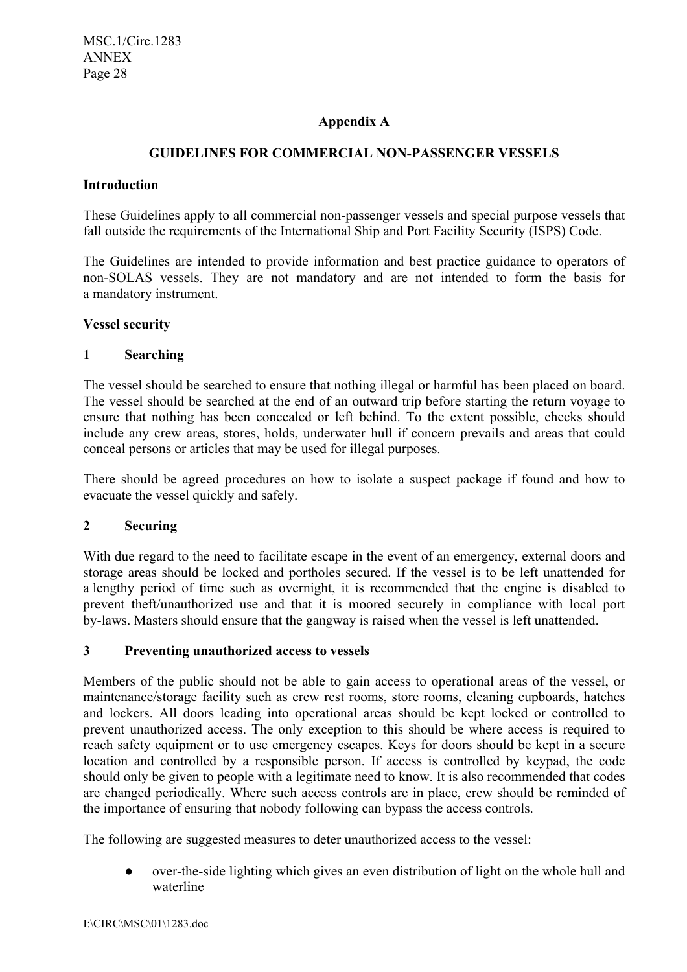# **Appendix A**

# **GUIDELINES FOR COMMERCIAL NON-PASSENGER VESSELS**

#### **Introduction**

These Guidelines apply to all commercial non-passenger vessels and special purpose vessels that fall outside the requirements of the International Ship and Port Facility Security (ISPS) Code.

The Guidelines are intended to provide information and best practice guidance to operators of non-SOLAS vessels. They are not mandatory and are not intended to form the basis for a mandatory instrument.

### **Vessel security**

### **1 Searching**

The vessel should be searched to ensure that nothing illegal or harmful has been placed on board. The vessel should be searched at the end of an outward trip before starting the return voyage to ensure that nothing has been concealed or left behind. To the extent possible, checks should include any crew areas, stores, holds, underwater hull if concern prevails and areas that could conceal persons or articles that may be used for illegal purposes.

There should be agreed procedures on how to isolate a suspect package if found and how to evacuate the vessel quickly and safely.

# **2 Securing**

With due regard to the need to facilitate escape in the event of an emergency, external doors and storage areas should be locked and portholes secured. If the vessel is to be left unattended for a lengthy period of time such as overnight, it is recommended that the engine is disabled to prevent theft/unauthorized use and that it is moored securely in compliance with local port by-laws. Masters should ensure that the gangway is raised when the vessel is left unattended.

#### **3 Preventing unauthorized access to vessels**

Members of the public should not be able to gain access to operational areas of the vessel, or maintenance/storage facility such as crew rest rooms, store rooms, cleaning cupboards, hatches and lockers. All doors leading into operational areas should be kept locked or controlled to prevent unauthorized access. The only exception to this should be where access is required to reach safety equipment or to use emergency escapes. Keys for doors should be kept in a secure location and controlled by a responsible person. If access is controlled by keypad, the code should only be given to people with a legitimate need to know. It is also recommended that codes are changed periodically. Where such access controls are in place, crew should be reminded of the importance of ensuring that nobody following can bypass the access controls.

The following are suggested measures to deter unauthorized access to the vessel:

over-the-side lighting which gives an even distribution of light on the whole hull and waterline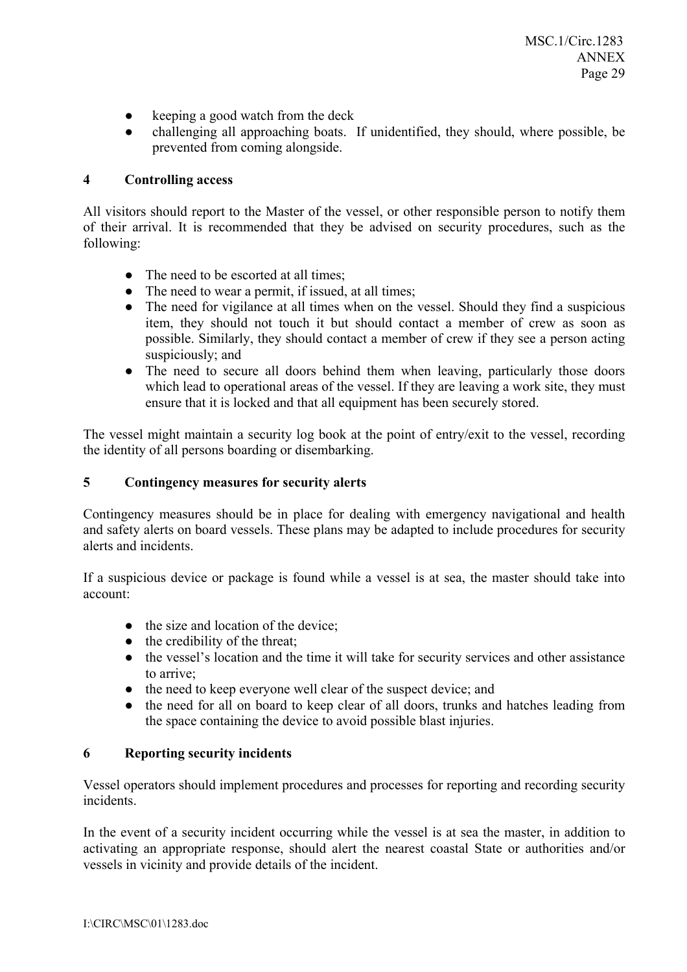- keeping a good watch from the deck
- challenging all approaching boats. If unidentified, they should, where possible, be prevented from coming alongside.

### **4 Controlling access**

All visitors should report to the Master of the vessel, or other responsible person to notify them of their arrival. It is recommended that they be advised on security procedures, such as the following:

- The need to be escorted at all times:
- The need to wear a permit, if issued, at all times;
- The need for vigilance at all times when on the vessel. Should they find a suspicious item, they should not touch it but should contact a member of crew as soon as possible. Similarly, they should contact a member of crew if they see a person acting suspiciously; and
- The need to secure all doors behind them when leaving, particularly those doors which lead to operational areas of the vessel. If they are leaving a work site, they must ensure that it is locked and that all equipment has been securely stored.

The vessel might maintain a security log book at the point of entry/exit to the vessel, recording the identity of all persons boarding or disembarking.

# **5 Contingency measures for security alerts**

Contingency measures should be in place for dealing with emergency navigational and health and safety alerts on board vessels. These plans may be adapted to include procedures for security alerts and incidents.

If a suspicious device or package is found while a vessel is at sea, the master should take into account:

- the size and location of the device;
- $\bullet$  the credibility of the threat:
- the vessel's location and the time it will take for security services and other assistance to arrive;
- the need to keep everyone well clear of the suspect device; and
- the need for all on board to keep clear of all doors, trunks and hatches leading from the space containing the device to avoid possible blast injuries.

#### **6 Reporting security incidents**

Vessel operators should implement procedures and processes for reporting and recording security incidents.

In the event of a security incident occurring while the vessel is at sea the master, in addition to activating an appropriate response, should alert the nearest coastal State or authorities and/or vessels in vicinity and provide details of the incident.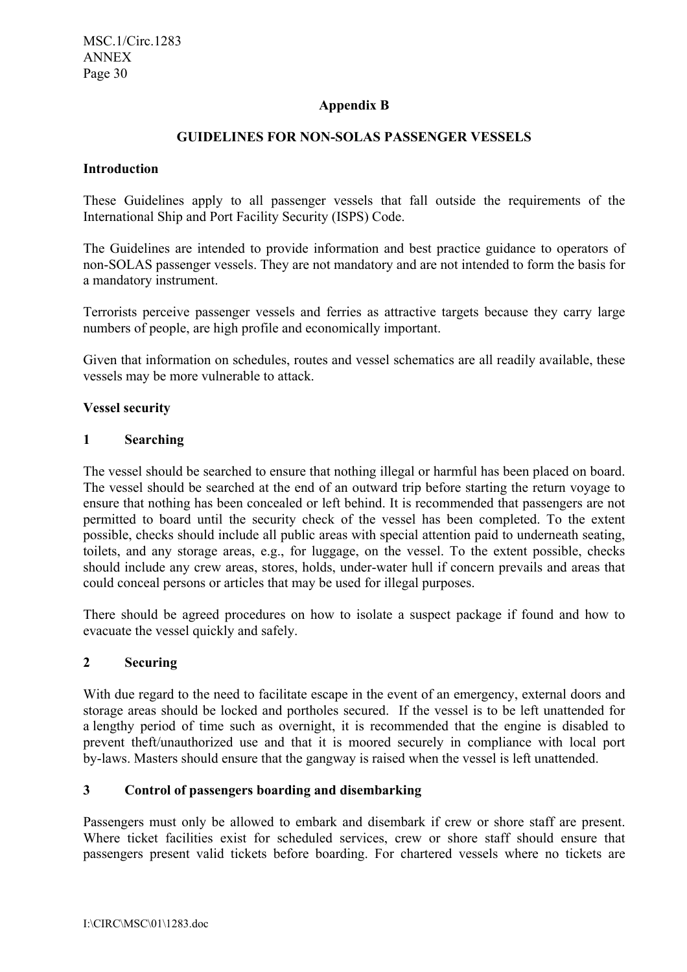# **Appendix B**

# **GUIDELINES FOR NON-SOLAS PASSENGER VESSELS**

#### **Introduction**

These Guidelines apply to all passenger vessels that fall outside the requirements of the International Ship and Port Facility Security (ISPS) Code.

The Guidelines are intended to provide information and best practice guidance to operators of non-SOLAS passenger vessels. They are not mandatory and are not intended to form the basis for a mandatory instrument.

Terrorists perceive passenger vessels and ferries as attractive targets because they carry large numbers of people, are high profile and economically important.

Given that information on schedules, routes and vessel schematics are all readily available, these vessels may be more vulnerable to attack.

#### **Vessel security**

#### **1 Searching**

The vessel should be searched to ensure that nothing illegal or harmful has been placed on board. The vessel should be searched at the end of an outward trip before starting the return voyage to ensure that nothing has been concealed or left behind. It is recommended that passengers are not permitted to board until the security check of the vessel has been completed. To the extent possible, checks should include all public areas with special attention paid to underneath seating, toilets, and any storage areas, e.g., for luggage, on the vessel. To the extent possible, checks should include any crew areas, stores, holds, under-water hull if concern prevails and areas that could conceal persons or articles that may be used for illegal purposes.

There should be agreed procedures on how to isolate a suspect package if found and how to evacuate the vessel quickly and safely.

#### **2 Securing**

With due regard to the need to facilitate escape in the event of an emergency, external doors and storage areas should be locked and portholes secured. If the vessel is to be left unattended for a lengthy period of time such as overnight, it is recommended that the engine is disabled to prevent theft/unauthorized use and that it is moored securely in compliance with local port by-laws. Masters should ensure that the gangway is raised when the vessel is left unattended.

#### **3 Control of passengers boarding and disembarking**

Passengers must only be allowed to embark and disembark if crew or shore staff are present. Where ticket facilities exist for scheduled services, crew or shore staff should ensure that passengers present valid tickets before boarding. For chartered vessels where no tickets are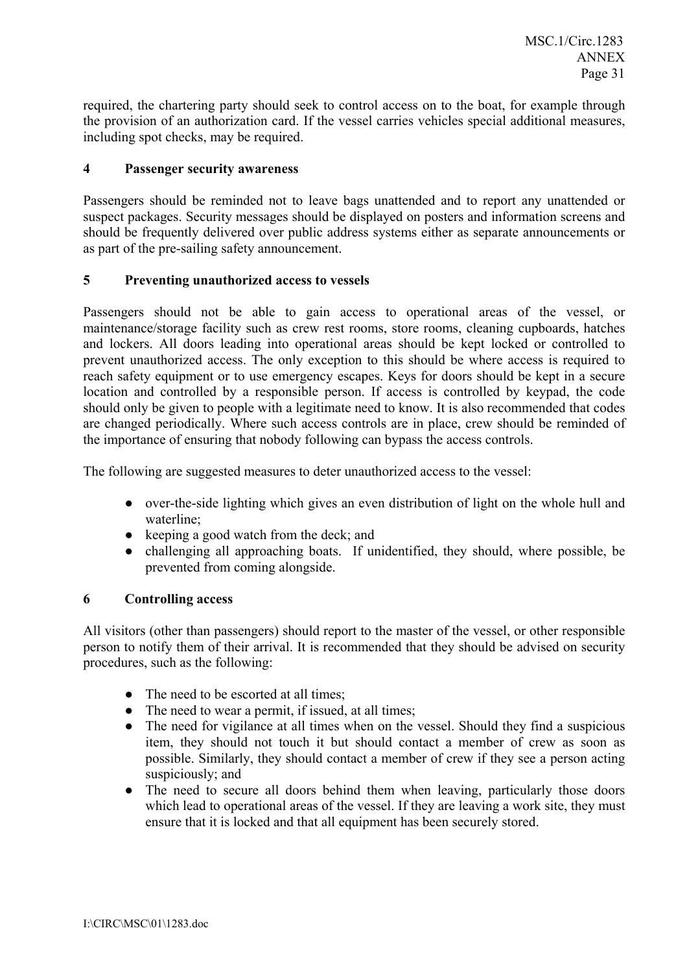required, the chartering party should seek to control access on to the boat, for example through the provision of an authorization card. If the vessel carries vehicles special additional measures, including spot checks, may be required.

#### **4 Passenger security awareness**

Passengers should be reminded not to leave bags unattended and to report any unattended or suspect packages. Security messages should be displayed on posters and information screens and should be frequently delivered over public address systems either as separate announcements or as part of the pre-sailing safety announcement.

### **5 Preventing unauthorized access to vessels**

Passengers should not be able to gain access to operational areas of the vessel, or maintenance/storage facility such as crew rest rooms, store rooms, cleaning cupboards, hatches and lockers. All doors leading into operational areas should be kept locked or controlled to prevent unauthorized access. The only exception to this should be where access is required to reach safety equipment or to use emergency escapes. Keys for doors should be kept in a secure location and controlled by a responsible person. If access is controlled by keypad, the code should only be given to people with a legitimate need to know. It is also recommended that codes are changed periodically. Where such access controls are in place, crew should be reminded of the importance of ensuring that nobody following can bypass the access controls.

The following are suggested measures to deter unauthorized access to the vessel:

- over-the-side lighting which gives an even distribution of light on the whole hull and waterline;
- keeping a good watch from the deck; and
- challenging all approaching boats. If unidentified, they should, where possible, be prevented from coming alongside.

#### **6 Controlling access**

All visitors (other than passengers) should report to the master of the vessel, or other responsible person to notify them of their arrival. It is recommended that they should be advised on security procedures, such as the following:

- The need to be escorted at all times;
- The need to wear a permit, if issued, at all times;
- The need for vigilance at all times when on the vessel. Should they find a suspicious item, they should not touch it but should contact a member of crew as soon as possible. Similarly, they should contact a member of crew if they see a person acting suspiciously; and
- The need to secure all doors behind them when leaving, particularly those doors which lead to operational areas of the vessel. If they are leaving a work site, they must ensure that it is locked and that all equipment has been securely stored.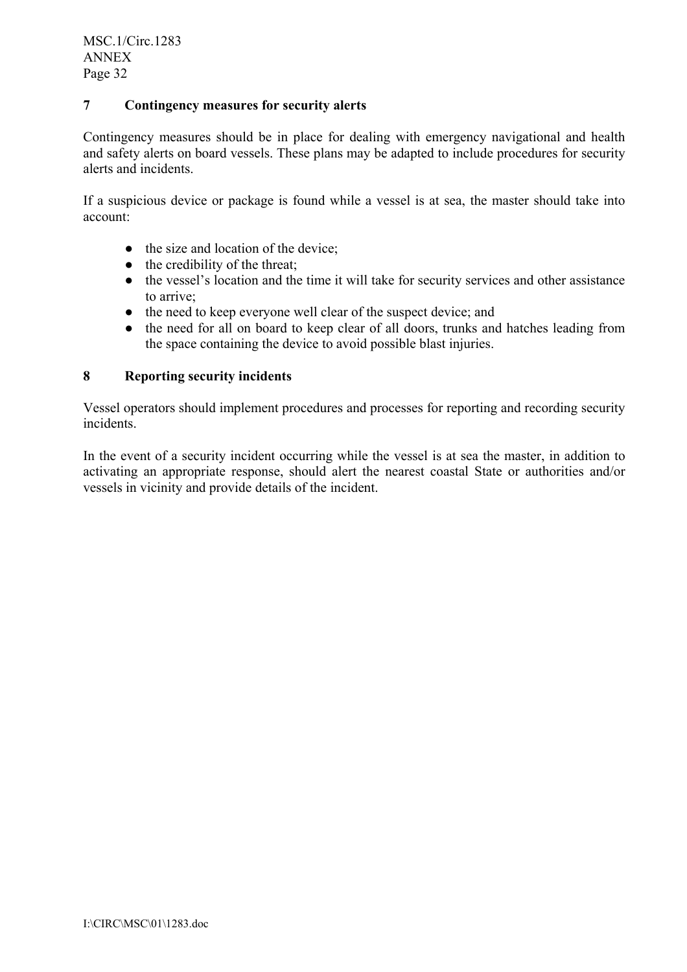# **7 Contingency measures for security alerts**

Contingency measures should be in place for dealing with emergency navigational and health and safety alerts on board vessels. These plans may be adapted to include procedures for security alerts and incidents.

If a suspicious device or package is found while a vessel is at sea, the master should take into account:

- the size and location of the device:
- $\bullet$  the credibility of the threat;
- the vessel's location and the time it will take for security services and other assistance to arrive;
- the need to keep everyone well clear of the suspect device; and
- the need for all on board to keep clear of all doors, trunks and hatches leading from the space containing the device to avoid possible blast injuries.

#### **8 Reporting security incidents**

Vessel operators should implement procedures and processes for reporting and recording security incidents.

In the event of a security incident occurring while the vessel is at sea the master, in addition to activating an appropriate response, should alert the nearest coastal State or authorities and/or vessels in vicinity and provide details of the incident.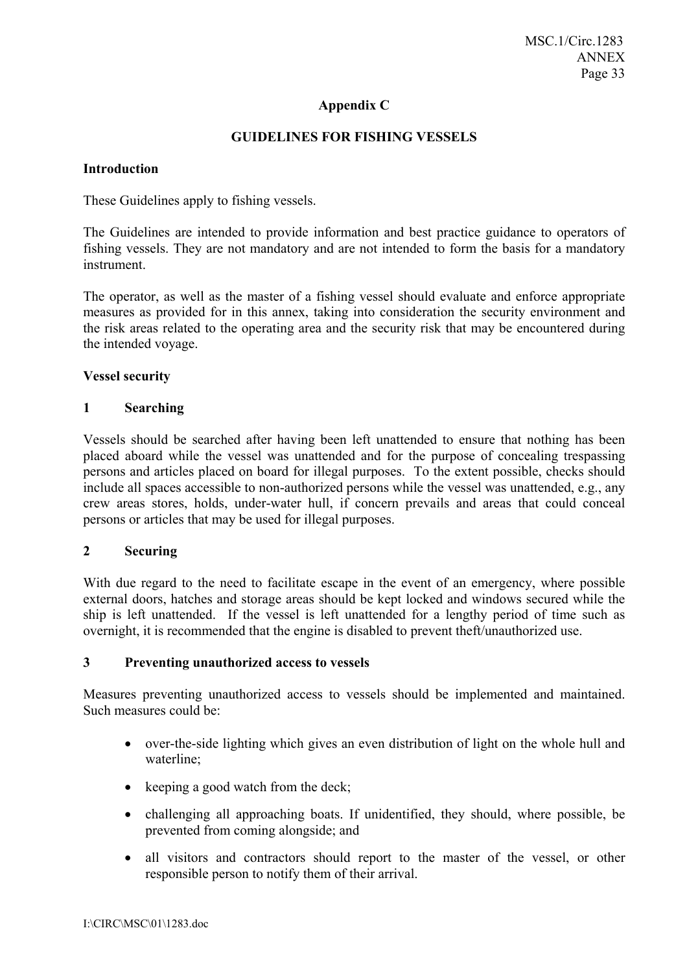# **Appendix C**

### **GUIDELINES FOR FISHING VESSELS**

#### **Introduction**

These Guidelines apply to fishing vessels.

The Guidelines are intended to provide information and best practice guidance to operators of fishing vessels. They are not mandatory and are not intended to form the basis for a mandatory instrument.

The operator, as well as the master of a fishing vessel should evaluate and enforce appropriate measures as provided for in this annex, taking into consideration the security environment and the risk areas related to the operating area and the security risk that may be encountered during the intended voyage.

#### **Vessel security**

#### **1 Searching**

Vessels should be searched after having been left unattended to ensure that nothing has been placed aboard while the vessel was unattended and for the purpose of concealing trespassing persons and articles placed on board for illegal purposes. To the extent possible, checks should include all spaces accessible to non-authorized persons while the vessel was unattended, e.g., any crew areas stores, holds, under-water hull, if concern prevails and areas that could conceal persons or articles that may be used for illegal purposes.

#### **2 Securing**

With due regard to the need to facilitate escape in the event of an emergency, where possible external doors, hatches and storage areas should be kept locked and windows secured while the ship is left unattended. If the vessel is left unattended for a lengthy period of time such as overnight, it is recommended that the engine is disabled to prevent theft/unauthorized use.

#### **3 Preventing unauthorized access to vessels**

Measures preventing unauthorized access to vessels should be implemented and maintained. Such measures could be:

- over-the-side lighting which gives an even distribution of light on the whole hull and waterline;
- keeping a good watch from the deck;
- challenging all approaching boats. If unidentified, they should, where possible, be prevented from coming alongside; and
- all visitors and contractors should report to the master of the vessel, or other responsible person to notify them of their arrival.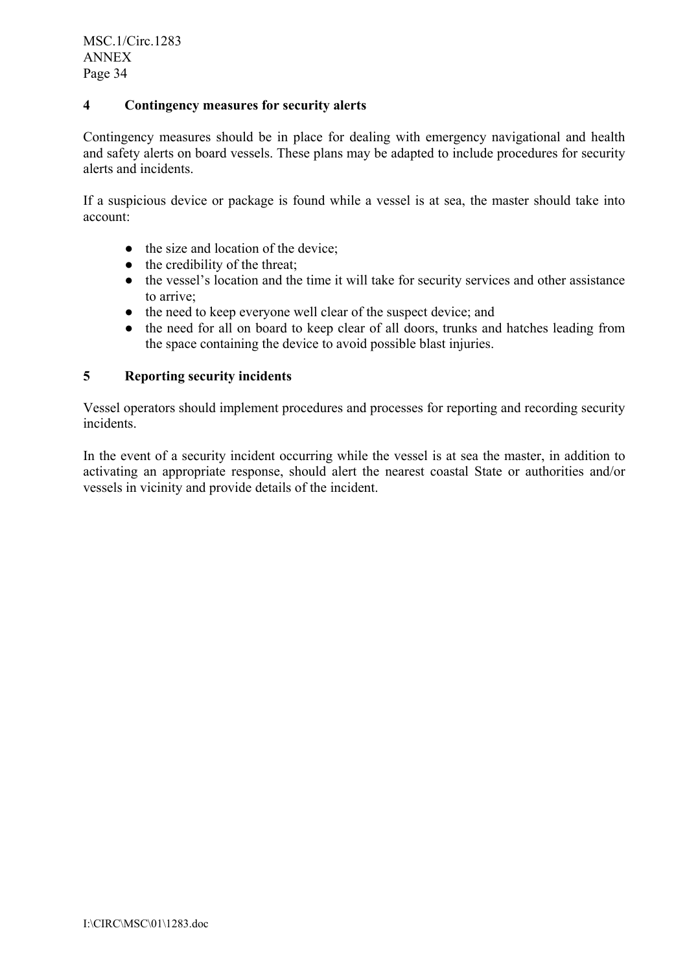# **4 Contingency measures for security alerts**

Contingency measures should be in place for dealing with emergency navigational and health and safety alerts on board vessels. These plans may be adapted to include procedures for security alerts and incidents.

If a suspicious device or package is found while a vessel is at sea, the master should take into account:

- the size and location of the device:
- $\bullet$  the credibility of the threat;
- the vessel's location and the time it will take for security services and other assistance to arrive;
- the need to keep everyone well clear of the suspect device; and
- the need for all on board to keep clear of all doors, trunks and hatches leading from the space containing the device to avoid possible blast injuries.

### **5 Reporting security incidents**

Vessel operators should implement procedures and processes for reporting and recording security incidents.

In the event of a security incident occurring while the vessel is at sea the master, in addition to activating an appropriate response, should alert the nearest coastal State or authorities and/or vessels in vicinity and provide details of the incident.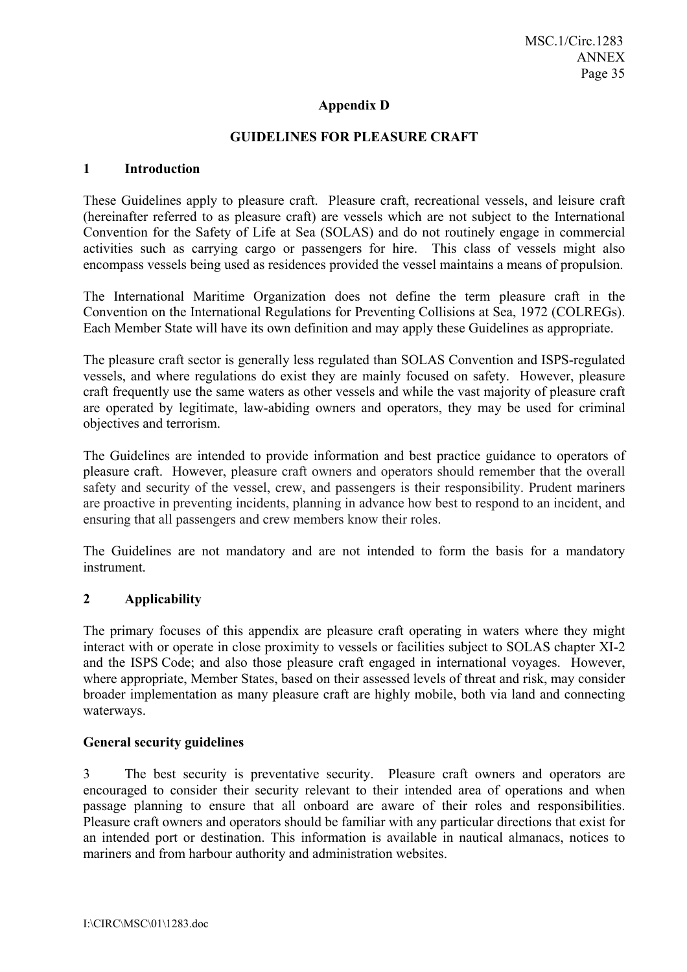# **Appendix D**

#### **GUIDELINES FOR PLEASURE CRAFT**

#### **1 Introduction**

These Guidelines apply to pleasure craft. Pleasure craft, recreational vessels, and leisure craft (hereinafter referred to as pleasure craft) are vessels which are not subject to the International Convention for the Safety of Life at Sea (SOLAS) and do not routinely engage in commercial activities such as carrying cargo or passengers for hire. This class of vessels might also encompass vessels being used as residences provided the vessel maintains a means of propulsion.

The International Maritime Organization does not define the term pleasure craft in the Convention on the International Regulations for Preventing Collisions at Sea, 1972 (COLREGs). Each Member State will have its own definition and may apply these Guidelines as appropriate.

The pleasure craft sector is generally less regulated than SOLAS Convention and ISPS-regulated vessels, and where regulations do exist they are mainly focused on safety. However, pleasure craft frequently use the same waters as other vessels and while the vast majority of pleasure craft are operated by legitimate, law-abiding owners and operators, they may be used for criminal objectives and terrorism.

The Guidelines are intended to provide information and best practice guidance to operators of pleasure craft. However, pleasure craft owners and operators should remember that the overall safety and security of the vessel, crew, and passengers is their responsibility. Prudent mariners are proactive in preventing incidents, planning in advance how best to respond to an incident, and ensuring that all passengers and crew members know their roles.

The Guidelines are not mandatory and are not intended to form the basis for a mandatory instrument.

# **2 Applicability**

The primary focuses of this appendix are pleasure craft operating in waters where they might interact with or operate in close proximity to vessels or facilities subject to SOLAS chapter XI-2 and the ISPS Code; and also those pleasure craft engaged in international voyages. However, where appropriate, Member States, based on their assessed levels of threat and risk, may consider broader implementation as many pleasure craft are highly mobile, both via land and connecting waterways.

#### **General security guidelines**

3 The best security is preventative security. Pleasure craft owners and operators are encouraged to consider their security relevant to their intended area of operations and when passage planning to ensure that all onboard are aware of their roles and responsibilities. Pleasure craft owners and operators should be familiar with any particular directions that exist for an intended port or destination. This information is available in nautical almanacs, notices to mariners and from harbour authority and administration websites.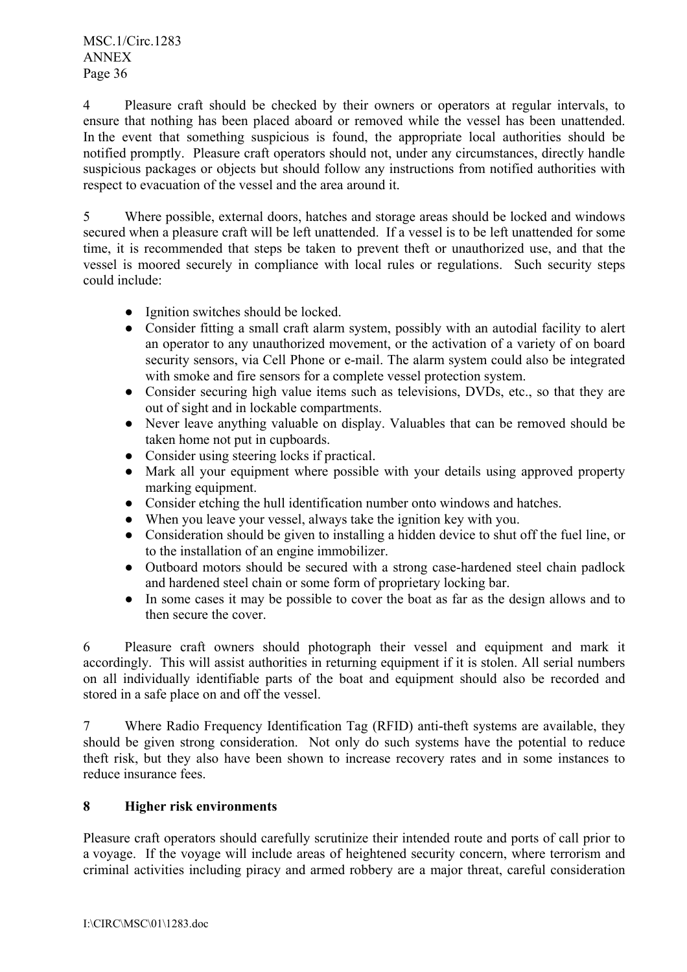MSC.1/Circ.1283 ANNEX Page 36

4 Pleasure craft should be checked by their owners or operators at regular intervals, to ensure that nothing has been placed aboard or removed while the vessel has been unattended. In the event that something suspicious is found, the appropriate local authorities should be notified promptly. Pleasure craft operators should not, under any circumstances, directly handle suspicious packages or objects but should follow any instructions from notified authorities with respect to evacuation of the vessel and the area around it.

5 Where possible, external doors, hatches and storage areas should be locked and windows secured when a pleasure craft will be left unattended. If a vessel is to be left unattended for some time, it is recommended that steps be taken to prevent theft or unauthorized use, and that the vessel is moored securely in compliance with local rules or regulations. Such security steps could include:

- Ignition switches should be locked.
- Consider fitting a small craft alarm system, possibly with an autodial facility to alert an operator to any unauthorized movement, or the activation of a variety of on board security sensors, via Cell Phone or e-mail. The alarm system could also be integrated with smoke and fire sensors for a complete vessel protection system.
- Consider securing high value items such as televisions, DVDs, etc., so that they are out of sight and in lockable compartments.
- Never leave anything valuable on display. Valuables that can be removed should be taken home not put in cupboards.
- Consider using steering locks if practical.
- Mark all your equipment where possible with your details using approved property marking equipment.
- Consider etching the hull identification number onto windows and hatches.
- When you leave your vessel, always take the ignition key with you.
- Consideration should be given to installing a hidden device to shut off the fuel line, or to the installation of an engine immobilizer.
- Outboard motors should be secured with a strong case-hardened steel chain padlock and hardened steel chain or some form of proprietary locking bar.
- In some cases it may be possible to cover the boat as far as the design allows and to then secure the cover.

6 Pleasure craft owners should photograph their vessel and equipment and mark it accordingly. This will assist authorities in returning equipment if it is stolen. All serial numbers on all individually identifiable parts of the boat and equipment should also be recorded and stored in a safe place on and off the vessel.

7 Where Radio Frequency Identification Tag (RFID) anti-theft systems are available, they should be given strong consideration. Not only do such systems have the potential to reduce theft risk, but they also have been shown to increase recovery rates and in some instances to reduce insurance fees.

# **8 Higher risk environments**

Pleasure craft operators should carefully scrutinize their intended route and ports of call prior to a voyage. If the voyage will include areas of heightened security concern, where terrorism and criminal activities including piracy and armed robbery are a major threat, careful consideration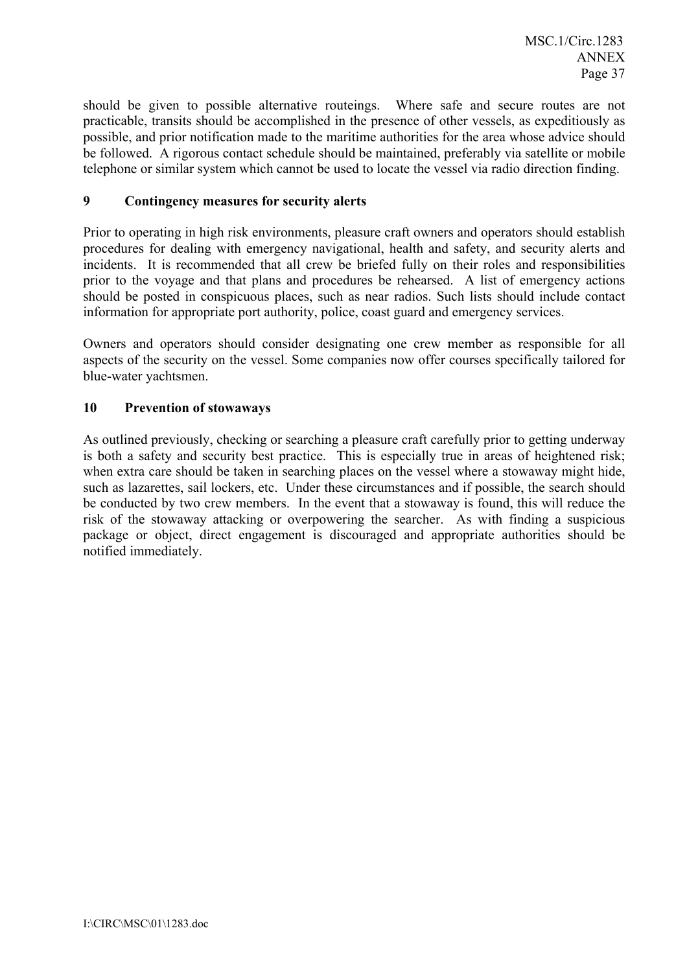should be given to possible alternative routeings. Where safe and secure routes are not practicable, transits should be accomplished in the presence of other vessels, as expeditiously as possible, and prior notification made to the maritime authorities for the area whose advice should be followed. A rigorous contact schedule should be maintained, preferably via satellite or mobile telephone or similar system which cannot be used to locate the vessel via radio direction finding.

### **9 Contingency measures for security alerts**

Prior to operating in high risk environments, pleasure craft owners and operators should establish procedures for dealing with emergency navigational, health and safety, and security alerts and incidents. It is recommended that all crew be briefed fully on their roles and responsibilities prior to the voyage and that plans and procedures be rehearsed. A list of emergency actions should be posted in conspicuous places, such as near radios. Such lists should include contact information for appropriate port authority, police, coast guard and emergency services.

Owners and operators should consider designating one crew member as responsible for all aspects of the security on the vessel. Some companies now offer courses specifically tailored for blue-water yachtsmen.

### **10 Prevention of stowaways**

As outlined previously, checking or searching a pleasure craft carefully prior to getting underway is both a safety and security best practice. This is especially true in areas of heightened risk; when extra care should be taken in searching places on the vessel where a stowaway might hide, such as lazarettes, sail lockers, etc. Under these circumstances and if possible, the search should be conducted by two crew members. In the event that a stowaway is found, this will reduce the risk of the stowaway attacking or overpowering the searcher. As with finding a suspicious package or object, direct engagement is discouraged and appropriate authorities should be notified immediately.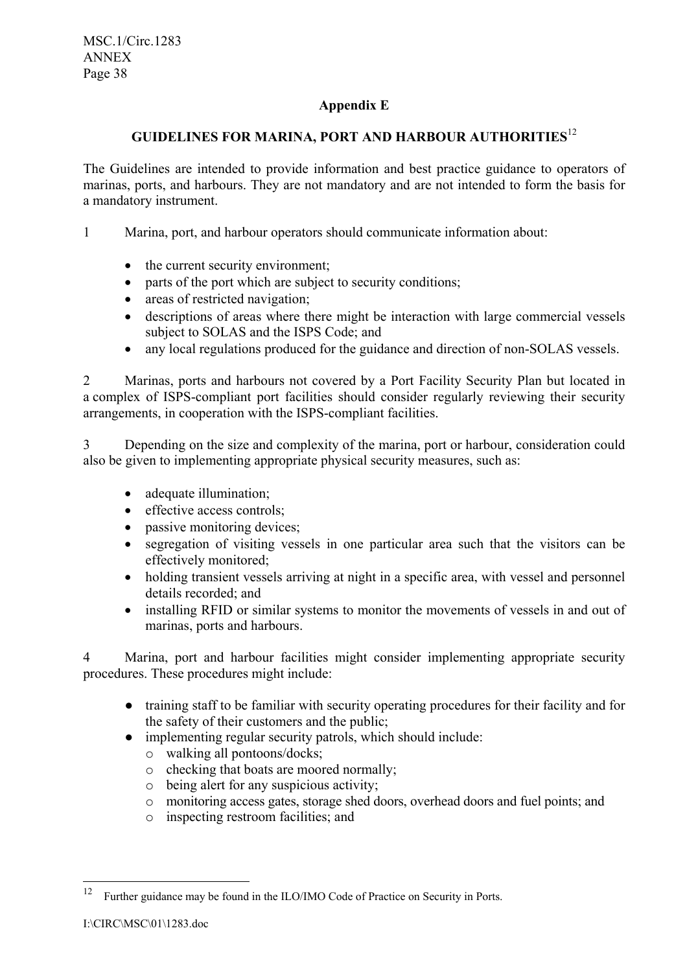# **Appendix E**

# **GUIDELINES FOR MARINA, PORT AND HARBOUR AUTHORITIES**<sup>12</sup>

The Guidelines are intended to provide information and best practice guidance to operators of marinas, ports, and harbours. They are not mandatory and are not intended to form the basis for a mandatory instrument.

1 Marina, port, and harbour operators should communicate information about:

- the current security environment;
- parts of the port which are subject to security conditions;
- areas of restricted navigation;
- descriptions of areas where there might be interaction with large commercial vessels subject to SOLAS and the ISPS Code; and
- any local regulations produced for the guidance and direction of non-SOLAS vessels.

2 Marinas, ports and harbours not covered by a Port Facility Security Plan but located in a complex of ISPS-compliant port facilities should consider regularly reviewing their security arrangements, in cooperation with the ISPS-compliant facilities.

3 Depending on the size and complexity of the marina, port or harbour, consideration could also be given to implementing appropriate physical security measures, such as:

- adequate illumination;
- effective access controls;
- passive monitoring devices;
- segregation of visiting vessels in one particular area such that the visitors can be effectively monitored;
- holding transient vessels arriving at night in a specific area, with vessel and personnel details recorded; and
- installing RFID or similar systems to monitor the movements of vessels in and out of marinas, ports and harbours.

4 Marina, port and harbour facilities might consider implementing appropriate security procedures. These procedures might include:

- training staff to be familiar with security operating procedures for their facility and for the safety of their customers and the public;
- implementing regular security patrols, which should include:
	- o walking all pontoons/docks;
	- o checking that boats are moored normally;
	- o being alert for any suspicious activity;
	- o monitoring access gates, storage shed doors, overhead doors and fuel points; and
	- o inspecting restroom facilities; and

 $12\,$ <sup>12</sup> Further guidance may be found in the ILO/IMO Code of Practice on Security in Ports.